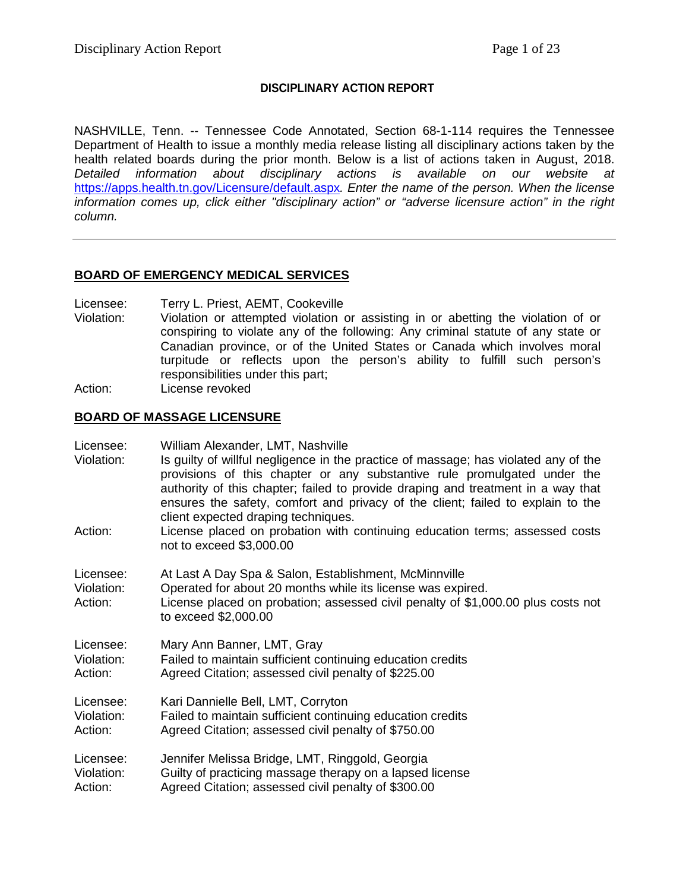## **DISCIPLINARY ACTION REPORT**

NASHVILLE, Tenn. -- Tennessee Code Annotated, Section 68-1-114 requires the Tennessee Department of Health to issue a monthly media release listing all disciplinary actions taken by the health related boards during the prior month. Below is a list of actions taken in August, 2018. *Detailed information about disciplinary actions is available on our website at*  <https://apps.health.tn.gov/Licensure/default.aspx>*. Enter the name of the person. When the license information comes up, click either "disciplinary action" or "adverse licensure action" in the right column.*

## **BOARD OF EMERGENCY MEDICAL SERVICES**

Licensee: Terry L. Priest, AEMT, Cookeville

- Violation: Violation or attempted violation or assisting in or abetting the violation of or conspiring to violate any of the following: Any criminal statute of any state or Canadian province, or of the United States or Canada which involves moral turpitude or reflects upon the person's ability to fulfill such person's responsibilities under this part;
- Action: License revoked

## **BOARD OF MASSAGE LICENSURE**

| Licensee:<br>Violation:<br>Action: | William Alexander, LMT, Nashville<br>Is guilty of willful negligence in the practice of massage; has violated any of the<br>provisions of this chapter or any substantive rule promulgated under the<br>authority of this chapter; failed to provide draping and treatment in a way that<br>ensures the safety, comfort and privacy of the client; failed to explain to the<br>client expected draping techniques.<br>License placed on probation with continuing education terms; assessed costs<br>not to exceed \$3,000.00 |
|------------------------------------|-------------------------------------------------------------------------------------------------------------------------------------------------------------------------------------------------------------------------------------------------------------------------------------------------------------------------------------------------------------------------------------------------------------------------------------------------------------------------------------------------------------------------------|
| Licensee:<br>Violation:<br>Action: | At Last A Day Spa & Salon, Establishment, McMinnville<br>Operated for about 20 months while its license was expired.<br>License placed on probation; assessed civil penalty of \$1,000.00 plus costs not<br>to exceed \$2,000.00                                                                                                                                                                                                                                                                                              |
| Licensee:                          | Mary Ann Banner, LMT, Gray                                                                                                                                                                                                                                                                                                                                                                                                                                                                                                    |
| Violation:                         | Failed to maintain sufficient continuing education credits                                                                                                                                                                                                                                                                                                                                                                                                                                                                    |
| Action:                            | Agreed Citation; assessed civil penalty of \$225.00                                                                                                                                                                                                                                                                                                                                                                                                                                                                           |
| Licensee:                          | Kari Dannielle Bell, LMT, Corryton                                                                                                                                                                                                                                                                                                                                                                                                                                                                                            |
| Violation:                         | Failed to maintain sufficient continuing education credits                                                                                                                                                                                                                                                                                                                                                                                                                                                                    |
| Action:                            | Agreed Citation; assessed civil penalty of \$750.00                                                                                                                                                                                                                                                                                                                                                                                                                                                                           |
| Licensee:                          | Jennifer Melissa Bridge, LMT, Ringgold, Georgia                                                                                                                                                                                                                                                                                                                                                                                                                                                                               |
| Violation:                         | Guilty of practicing massage therapy on a lapsed license                                                                                                                                                                                                                                                                                                                                                                                                                                                                      |
| Action:                            | Agreed Citation; assessed civil penalty of \$300.00                                                                                                                                                                                                                                                                                                                                                                                                                                                                           |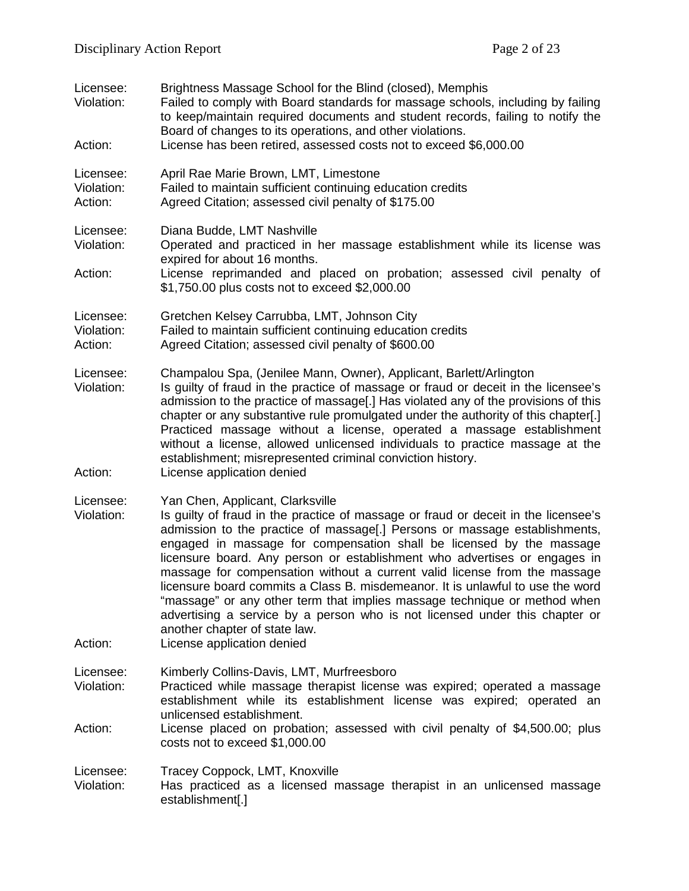| Licensee:<br>Violation:<br>Action: | Brightness Massage School for the Blind (closed), Memphis<br>Failed to comply with Board standards for massage schools, including by failing<br>to keep/maintain required documents and student records, failing to notify the<br>Board of changes to its operations, and other violations.<br>License has been retired, assessed costs not to exceed \$6,000.00                                                                                                                                                                                                                                                                                                                                                                                    |
|------------------------------------|-----------------------------------------------------------------------------------------------------------------------------------------------------------------------------------------------------------------------------------------------------------------------------------------------------------------------------------------------------------------------------------------------------------------------------------------------------------------------------------------------------------------------------------------------------------------------------------------------------------------------------------------------------------------------------------------------------------------------------------------------------|
| Licensee:<br>Violation:<br>Action: | April Rae Marie Brown, LMT, Limestone<br>Failed to maintain sufficient continuing education credits<br>Agreed Citation; assessed civil penalty of \$175.00                                                                                                                                                                                                                                                                                                                                                                                                                                                                                                                                                                                          |
| Licensee:<br>Violation:<br>Action: | Diana Budde, LMT Nashville<br>Operated and practiced in her massage establishment while its license was<br>expired for about 16 months.<br>License reprimanded and placed on probation; assessed civil penalty of<br>\$1,750.00 plus costs not to exceed \$2,000.00                                                                                                                                                                                                                                                                                                                                                                                                                                                                                 |
| Licensee:<br>Violation:<br>Action: | Gretchen Kelsey Carrubba, LMT, Johnson City<br>Failed to maintain sufficient continuing education credits<br>Agreed Citation; assessed civil penalty of \$600.00                                                                                                                                                                                                                                                                                                                                                                                                                                                                                                                                                                                    |
| Licensee:<br>Violation:<br>Action: | Champalou Spa, (Jenilee Mann, Owner), Applicant, Barlett/Arlington<br>Is guilty of fraud in the practice of massage or fraud or deceit in the licensee's<br>admission to the practice of massage[.] Has violated any of the provisions of this<br>chapter or any substantive rule promulgated under the authority of this chapter[.]<br>Practiced massage without a license, operated a massage establishment<br>without a license, allowed unlicensed individuals to practice massage at the<br>establishment; misrepresented criminal conviction history.<br>License application denied                                                                                                                                                           |
| Licensee:<br>Violation:<br>Action: | Yan Chen, Applicant, Clarksville<br>Is guilty of fraud in the practice of massage or fraud or deceit in the licensee's<br>admission to the practice of massage[.] Persons or massage establishments,<br>engaged in massage for compensation shall be licensed by the massage<br>licensure board. Any person or establishment who advertises or engages in<br>massage for compensation without a current valid license from the massage<br>licensure board commits a Class B. misdemeanor. It is unlawful to use the word<br>"massage" or any other term that implies massage technique or method when<br>advertising a service by a person who is not licensed under this chapter or<br>another chapter of state law.<br>License application denied |
| Licensee:<br>Violation:            | Kimberly Collins-Davis, LMT, Murfreesboro<br>Practiced while massage therapist license was expired; operated a massage<br>establishment while its establishment license was expired; operated an<br>unlicensed establishment.                                                                                                                                                                                                                                                                                                                                                                                                                                                                                                                       |
| Action:                            | License placed on probation; assessed with civil penalty of \$4,500.00; plus<br>costs not to exceed \$1,000.00                                                                                                                                                                                                                                                                                                                                                                                                                                                                                                                                                                                                                                      |
| Licensee:<br>Violation:            | Tracey Coppock, LMT, Knoxville<br>Has practiced as a licensed massage therapist in an unlicensed massage<br>establishment[.]                                                                                                                                                                                                                                                                                                                                                                                                                                                                                                                                                                                                                        |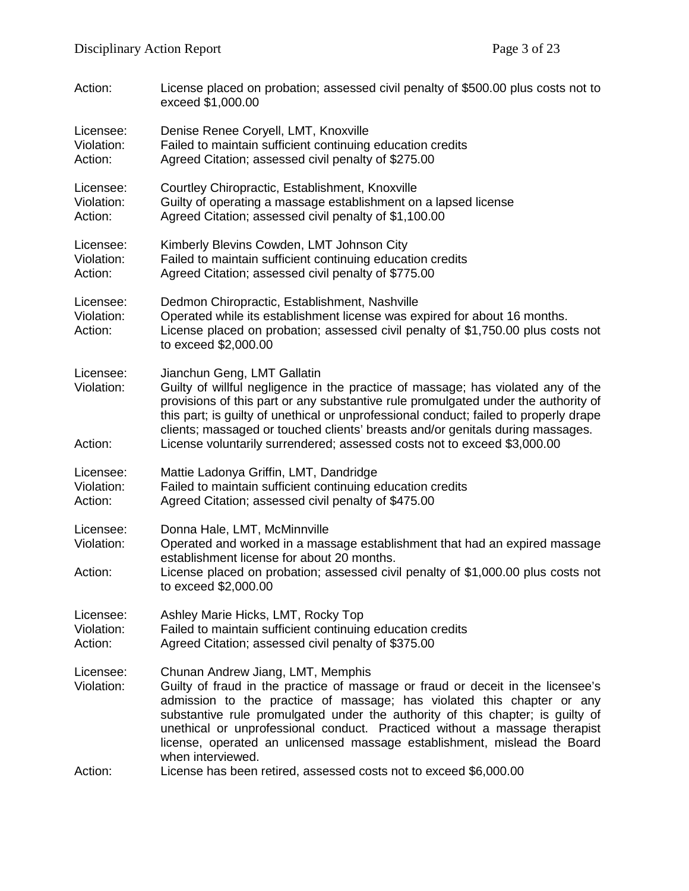| Action:                            | License placed on probation; assessed civil penalty of \$500.00 plus costs not to<br>exceed \$1,000.00                                                                                                                                                                                                                                                                                                                                                          |
|------------------------------------|-----------------------------------------------------------------------------------------------------------------------------------------------------------------------------------------------------------------------------------------------------------------------------------------------------------------------------------------------------------------------------------------------------------------------------------------------------------------|
| Licensee:<br>Violation:<br>Action: | Denise Renee Coryell, LMT, Knoxville<br>Failed to maintain sufficient continuing education credits<br>Agreed Citation; assessed civil penalty of \$275.00                                                                                                                                                                                                                                                                                                       |
| Licensee:<br>Violation:<br>Action: | Courtley Chiropractic, Establishment, Knoxville<br>Guilty of operating a massage establishment on a lapsed license<br>Agreed Citation; assessed civil penalty of \$1,100.00                                                                                                                                                                                                                                                                                     |
| Licensee:<br>Violation:<br>Action: | Kimberly Blevins Cowden, LMT Johnson City<br>Failed to maintain sufficient continuing education credits<br>Agreed Citation; assessed civil penalty of \$775.00                                                                                                                                                                                                                                                                                                  |
| Licensee:<br>Violation:<br>Action: | Dedmon Chiropractic, Establishment, Nashville<br>Operated while its establishment license was expired for about 16 months.<br>License placed on probation; assessed civil penalty of \$1,750.00 plus costs not<br>to exceed \$2,000.00                                                                                                                                                                                                                          |
| Licensee:<br>Violation:<br>Action: | Jianchun Geng, LMT Gallatin<br>Guilty of willful negligence in the practice of massage; has violated any of the<br>provisions of this part or any substantive rule promulgated under the authority of<br>this part; is guilty of unethical or unprofessional conduct; failed to properly drape<br>clients; massaged or touched clients' breasts and/or genitals during massages.<br>License voluntarily surrendered; assessed costs not to exceed \$3,000.00    |
| Licensee:<br>Violation:<br>Action: | Mattie Ladonya Griffin, LMT, Dandridge<br>Failed to maintain sufficient continuing education credits<br>Agreed Citation; assessed civil penalty of \$475.00                                                                                                                                                                                                                                                                                                     |
| Licensee:<br>Violation:<br>Action: | Donna Hale, LMT, McMinnville<br>Operated and worked in a massage establishment that had an expired massage<br>establishment license for about 20 months.<br>License placed on probation; assessed civil penalty of \$1,000.00 plus costs not<br>to exceed \$2,000.00                                                                                                                                                                                            |
| Licensee:<br>Violation:<br>Action: | Ashley Marie Hicks, LMT, Rocky Top<br>Failed to maintain sufficient continuing education credits<br>Agreed Citation; assessed civil penalty of \$375.00                                                                                                                                                                                                                                                                                                         |
| Licensee:<br>Violation:            | Chunan Andrew Jiang, LMT, Memphis<br>Guilty of fraud in the practice of massage or fraud or deceit in the licensee's<br>admission to the practice of massage; has violated this chapter or any<br>substantive rule promulgated under the authority of this chapter; is guilty of<br>unethical or unprofessional conduct. Practiced without a massage therapist<br>license, operated an unlicensed massage establishment, mislead the Board<br>when interviewed. |
| Action:                            | License has been retired, assessed costs not to exceed \$6,000.00                                                                                                                                                                                                                                                                                                                                                                                               |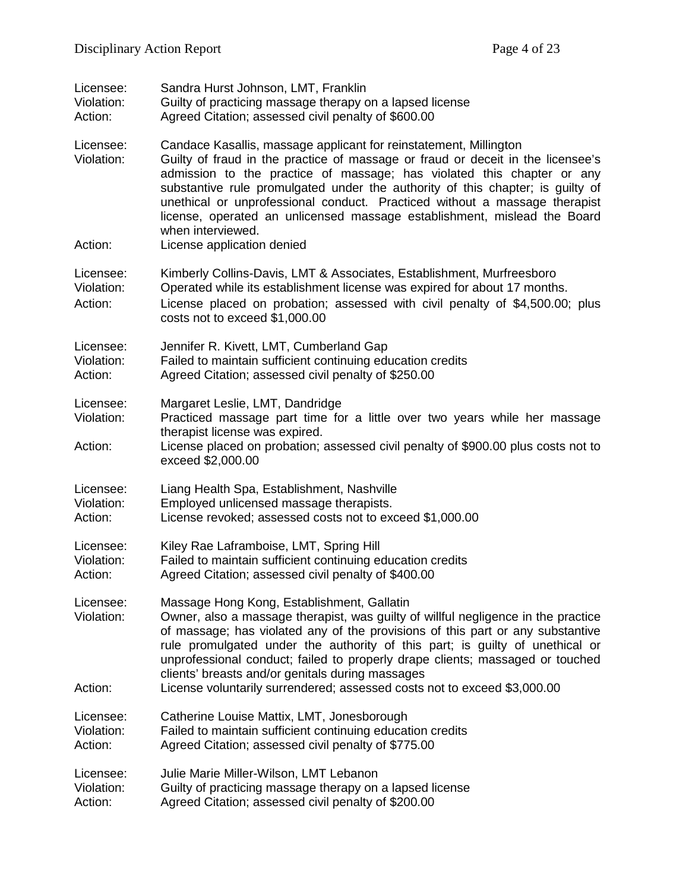| Licensee:                          | Sandra Hurst Johnson, LMT, Franklin                                                                                                                                                                                                                                                                                                                                                                                                                                                                                           |
|------------------------------------|-------------------------------------------------------------------------------------------------------------------------------------------------------------------------------------------------------------------------------------------------------------------------------------------------------------------------------------------------------------------------------------------------------------------------------------------------------------------------------------------------------------------------------|
| Violation:                         | Guilty of practicing massage therapy on a lapsed license                                                                                                                                                                                                                                                                                                                                                                                                                                                                      |
| Action:                            | Agreed Citation; assessed civil penalty of \$600.00                                                                                                                                                                                                                                                                                                                                                                                                                                                                           |
| Licensee:<br>Violation:<br>Action: | Candace Kasallis, massage applicant for reinstatement, Millington<br>Guilty of fraud in the practice of massage or fraud or deceit in the licensee's<br>admission to the practice of massage; has violated this chapter or any<br>substantive rule promulgated under the authority of this chapter; is guilty of<br>unethical or unprofessional conduct. Practiced without a massage therapist<br>license, operated an unlicensed massage establishment, mislead the Board<br>when interviewed.<br>License application denied |
|                                    |                                                                                                                                                                                                                                                                                                                                                                                                                                                                                                                               |
| Licensee:<br>Violation:<br>Action: | Kimberly Collins-Davis, LMT & Associates, Establishment, Murfreesboro<br>Operated while its establishment license was expired for about 17 months.<br>License placed on probation; assessed with civil penalty of \$4,500.00; plus<br>costs not to exceed \$1,000.00                                                                                                                                                                                                                                                          |
| Licensee:                          | Jennifer R. Kivett, LMT, Cumberland Gap                                                                                                                                                                                                                                                                                                                                                                                                                                                                                       |
| Violation:                         | Failed to maintain sufficient continuing education credits                                                                                                                                                                                                                                                                                                                                                                                                                                                                    |
| Action:                            | Agreed Citation; assessed civil penalty of \$250.00                                                                                                                                                                                                                                                                                                                                                                                                                                                                           |
| Licensee:<br>Violation:<br>Action: | Margaret Leslie, LMT, Dandridge<br>Practiced massage part time for a little over two years while her massage<br>therapist license was expired.<br>License placed on probation; assessed civil penalty of \$900.00 plus costs not to<br>exceed \$2,000.00                                                                                                                                                                                                                                                                      |
| Licensee:                          | Liang Health Spa, Establishment, Nashville                                                                                                                                                                                                                                                                                                                                                                                                                                                                                    |
| Violation:                         | Employed unlicensed massage therapists.                                                                                                                                                                                                                                                                                                                                                                                                                                                                                       |
| Action:                            | License revoked; assessed costs not to exceed \$1,000.00                                                                                                                                                                                                                                                                                                                                                                                                                                                                      |
| Licensee:                          | Kiley Rae Laframboise, LMT, Spring Hill                                                                                                                                                                                                                                                                                                                                                                                                                                                                                       |
| Violation:                         | Failed to maintain sufficient continuing education credits                                                                                                                                                                                                                                                                                                                                                                                                                                                                    |
| Action:                            | Agreed Citation; assessed civil penalty of \$400.00                                                                                                                                                                                                                                                                                                                                                                                                                                                                           |
| Licensee:<br>Violation:            | Massage Hong Kong, Establishment, Gallatin<br>Owner, also a massage therapist, was guilty of willful negligence in the practice<br>of massage; has violated any of the provisions of this part or any substantive<br>rule promulgated under the authority of this part; is guilty of unethical or<br>unprofessional conduct; failed to properly drape clients; massaged or touched<br>clients' breasts and/or genitals during massages                                                                                        |
| Action:                            | License voluntarily surrendered; assessed costs not to exceed \$3,000.00                                                                                                                                                                                                                                                                                                                                                                                                                                                      |
| Licensee:                          | Catherine Louise Mattix, LMT, Jonesborough                                                                                                                                                                                                                                                                                                                                                                                                                                                                                    |
| Violation:                         | Failed to maintain sufficient continuing education credits                                                                                                                                                                                                                                                                                                                                                                                                                                                                    |
| Action:                            | Agreed Citation; assessed civil penalty of \$775.00                                                                                                                                                                                                                                                                                                                                                                                                                                                                           |
| Licensee:                          | Julie Marie Miller-Wilson, LMT Lebanon                                                                                                                                                                                                                                                                                                                                                                                                                                                                                        |
| Violation:                         | Guilty of practicing massage therapy on a lapsed license                                                                                                                                                                                                                                                                                                                                                                                                                                                                      |
| Action:                            | Agreed Citation; assessed civil penalty of \$200.00                                                                                                                                                                                                                                                                                                                                                                                                                                                                           |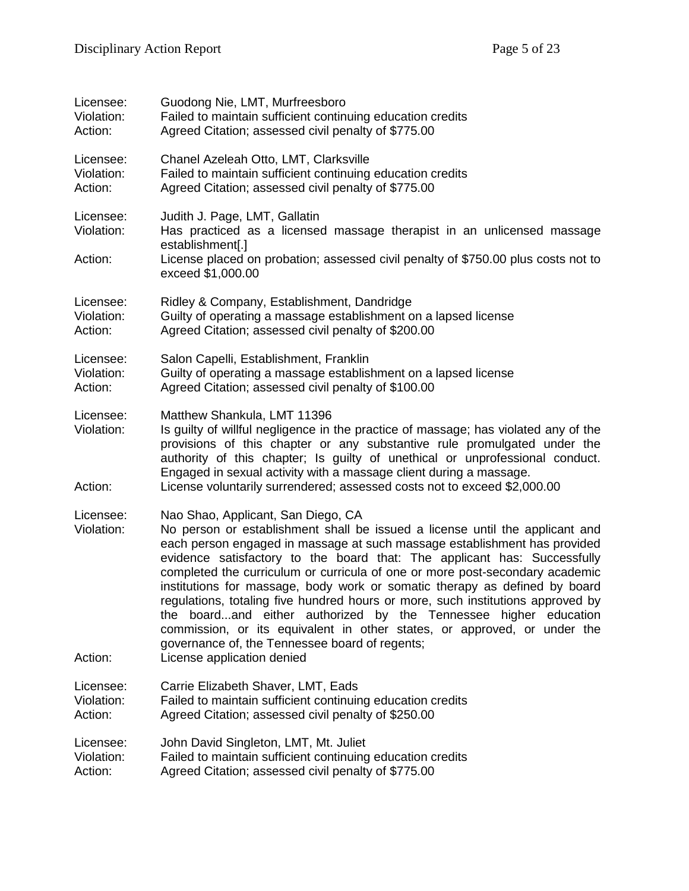| Licensee:                          | Guodong Nie, LMT, Murfreesboro                                                                                                                                                                                                                                                                                                                                                                                                                                                                                                                                                                                                                                                                                                                               |
|------------------------------------|--------------------------------------------------------------------------------------------------------------------------------------------------------------------------------------------------------------------------------------------------------------------------------------------------------------------------------------------------------------------------------------------------------------------------------------------------------------------------------------------------------------------------------------------------------------------------------------------------------------------------------------------------------------------------------------------------------------------------------------------------------------|
| Violation:                         | Failed to maintain sufficient continuing education credits                                                                                                                                                                                                                                                                                                                                                                                                                                                                                                                                                                                                                                                                                                   |
| Action:                            | Agreed Citation; assessed civil penalty of \$775.00                                                                                                                                                                                                                                                                                                                                                                                                                                                                                                                                                                                                                                                                                                          |
| Licensee:                          | Chanel Azeleah Otto, LMT, Clarksville                                                                                                                                                                                                                                                                                                                                                                                                                                                                                                                                                                                                                                                                                                                        |
| Violation:                         | Failed to maintain sufficient continuing education credits                                                                                                                                                                                                                                                                                                                                                                                                                                                                                                                                                                                                                                                                                                   |
| Action:                            | Agreed Citation; assessed civil penalty of \$775.00                                                                                                                                                                                                                                                                                                                                                                                                                                                                                                                                                                                                                                                                                                          |
| Licensee:<br>Violation:<br>Action: | Judith J. Page, LMT, Gallatin<br>Has practiced as a licensed massage therapist in an unlicensed massage<br>establishment[.]<br>License placed on probation; assessed civil penalty of \$750.00 plus costs not to<br>exceed \$1,000.00                                                                                                                                                                                                                                                                                                                                                                                                                                                                                                                        |
| Licensee:                          | Ridley & Company, Establishment, Dandridge                                                                                                                                                                                                                                                                                                                                                                                                                                                                                                                                                                                                                                                                                                                   |
| Violation:                         | Guilty of operating a massage establishment on a lapsed license                                                                                                                                                                                                                                                                                                                                                                                                                                                                                                                                                                                                                                                                                              |
| Action:                            | Agreed Citation; assessed civil penalty of \$200.00                                                                                                                                                                                                                                                                                                                                                                                                                                                                                                                                                                                                                                                                                                          |
| Licensee:                          | Salon Capelli, Establishment, Franklin                                                                                                                                                                                                                                                                                                                                                                                                                                                                                                                                                                                                                                                                                                                       |
| Violation:                         | Guilty of operating a massage establishment on a lapsed license                                                                                                                                                                                                                                                                                                                                                                                                                                                                                                                                                                                                                                                                                              |
| Action:                            | Agreed Citation; assessed civil penalty of \$100.00                                                                                                                                                                                                                                                                                                                                                                                                                                                                                                                                                                                                                                                                                                          |
| Licensee:<br>Violation:<br>Action: | Matthew Shankula, LMT 11396<br>Is guilty of willful negligence in the practice of massage; has violated any of the<br>provisions of this chapter or any substantive rule promulgated under the<br>authority of this chapter; Is guilty of unethical or unprofessional conduct.<br>Engaged in sexual activity with a massage client during a massage.<br>License voluntarily surrendered; assessed costs not to exceed \$2,000.00                                                                                                                                                                                                                                                                                                                             |
| Licensee:<br>Violation:<br>Action: | Nao Shao, Applicant, San Diego, CA<br>No person or establishment shall be issued a license until the applicant and<br>each person engaged in massage at such massage establishment has provided<br>evidence satisfactory to the board that: The applicant has: Successfully<br>completed the curriculum or curricula of one or more post-secondary academic<br>institutions for massage, body work or somatic therapy as defined by board<br>regulations, totaling five hundred hours or more, such institutions approved by<br>the boardand either authorized by the Tennessee higher education<br>commission, or its equivalent in other states, or approved, or under the<br>governance of, the Tennessee board of regents;<br>License application denied |
| Licensee:                          | Carrie Elizabeth Shaver, LMT, Eads                                                                                                                                                                                                                                                                                                                                                                                                                                                                                                                                                                                                                                                                                                                           |
| Violation:                         | Failed to maintain sufficient continuing education credits                                                                                                                                                                                                                                                                                                                                                                                                                                                                                                                                                                                                                                                                                                   |
| Action:                            | Agreed Citation; assessed civil penalty of \$250.00                                                                                                                                                                                                                                                                                                                                                                                                                                                                                                                                                                                                                                                                                                          |
| Licensee:                          | John David Singleton, LMT, Mt. Juliet                                                                                                                                                                                                                                                                                                                                                                                                                                                                                                                                                                                                                                                                                                                        |
| Violation:                         | Failed to maintain sufficient continuing education credits                                                                                                                                                                                                                                                                                                                                                                                                                                                                                                                                                                                                                                                                                                   |
| Action:                            | Agreed Citation; assessed civil penalty of \$775.00                                                                                                                                                                                                                                                                                                                                                                                                                                                                                                                                                                                                                                                                                                          |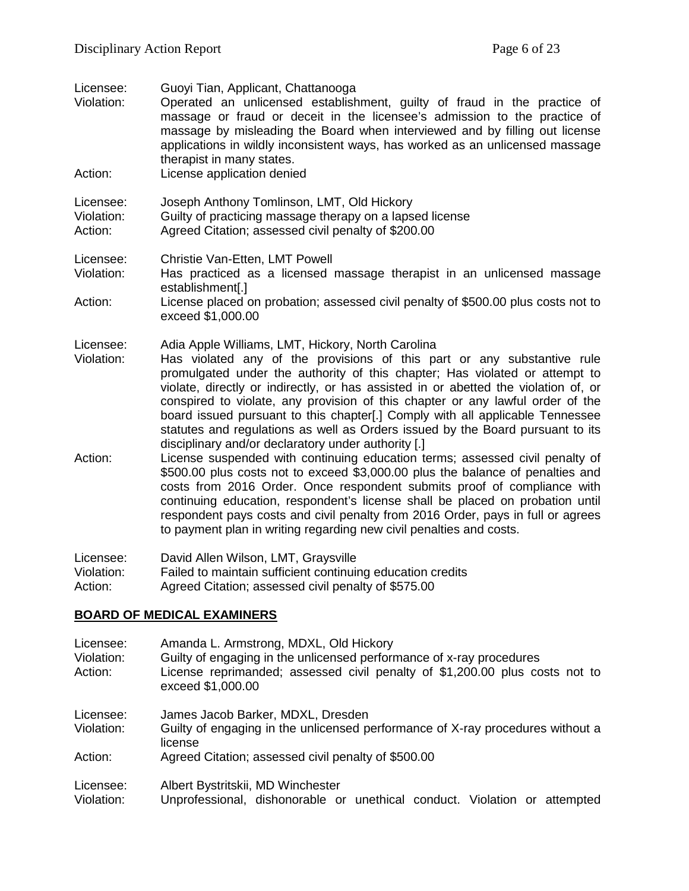| Licensee:<br>Violation:<br>Action: | Guoyi Tian, Applicant, Chattanooga<br>Operated an unlicensed establishment, guilty of fraud in the practice of<br>massage or fraud or deceit in the licensee's admission to the practice of<br>massage by misleading the Board when interviewed and by filling out license<br>applications in wildly inconsistent ways, has worked as an unlicensed massage<br>therapist in many states.<br>License application denied                                                                                                                                                                                         |
|------------------------------------|----------------------------------------------------------------------------------------------------------------------------------------------------------------------------------------------------------------------------------------------------------------------------------------------------------------------------------------------------------------------------------------------------------------------------------------------------------------------------------------------------------------------------------------------------------------------------------------------------------------|
| Licensee:<br>Violation:<br>Action: | Joseph Anthony Tomlinson, LMT, Old Hickory<br>Guilty of practicing massage therapy on a lapsed license<br>Agreed Citation; assessed civil penalty of \$200.00                                                                                                                                                                                                                                                                                                                                                                                                                                                  |
| Licensee:<br>Violation:<br>Action: | Christie Van-Etten, LMT Powell<br>Has practiced as a licensed massage therapist in an unlicensed massage<br>establishment[.]<br>License placed on probation; assessed civil penalty of \$500.00 plus costs not to<br>exceed \$1,000.00                                                                                                                                                                                                                                                                                                                                                                         |
| Licensee:<br>Violation:            | Adia Apple Williams, LMT, Hickory, North Carolina<br>Has violated any of the provisions of this part or any substantive rule<br>promulgated under the authority of this chapter; Has violated or attempt to<br>violate, directly or indirectly, or has assisted in or abetted the violation of, or<br>conspired to violate, any provision of this chapter or any lawful order of the<br>board issued pursuant to this chapter[.] Comply with all applicable Tennessee<br>statutes and regulations as well as Orders issued by the Board pursuant to its<br>disciplinary and/or declaratory under authority [.] |
| Action:                            | License suspended with continuing education terms; assessed civil penalty of<br>\$500.00 plus costs not to exceed \$3,000.00 plus the balance of penalties and<br>costs from 2016 Order. Once respondent submits proof of compliance with<br>continuing education, respondent's license shall be placed on probation until<br>respondent pays costs and civil penalty from 2016 Order, pays in full or agrees<br>to payment plan in writing regarding new civil penalties and costs.                                                                                                                           |
| Licensee:                          | David Allen Wilson, LMT, Graysville<br>the contract of the contract of the contract of the contract of the contract of                                                                                                                                                                                                                                                                                                                                                                                                                                                                                         |

Violation: Failed to maintain sufficient continuing education credits Action: Agreed Citation; assessed civil penalty of \$575.00

# **BOARD OF MEDICAL EXAMINERS**

| Licensee:<br>Violation:<br>Action: | Amanda L. Armstrong, MDXL, Old Hickory<br>Guilty of engaging in the unlicensed performance of x-ray procedures<br>License reprimanded; assessed civil penalty of \$1,200.00 plus costs not to<br>exceed \$1,000.00 |
|------------------------------------|--------------------------------------------------------------------------------------------------------------------------------------------------------------------------------------------------------------------|
| Licensee:<br>Violation:            | James Jacob Barker, MDXL, Dresden<br>Guilty of engaging in the unlicensed performance of X-ray procedures without a<br>license                                                                                     |
| Action:                            | Agreed Citation; assessed civil penalty of \$500.00                                                                                                                                                                |
| Licensee:<br>Violation:            | Albert Bystritskii, MD Winchester<br>Unprofessional, dishonorable or unethical conduct. Violation or attempted                                                                                                     |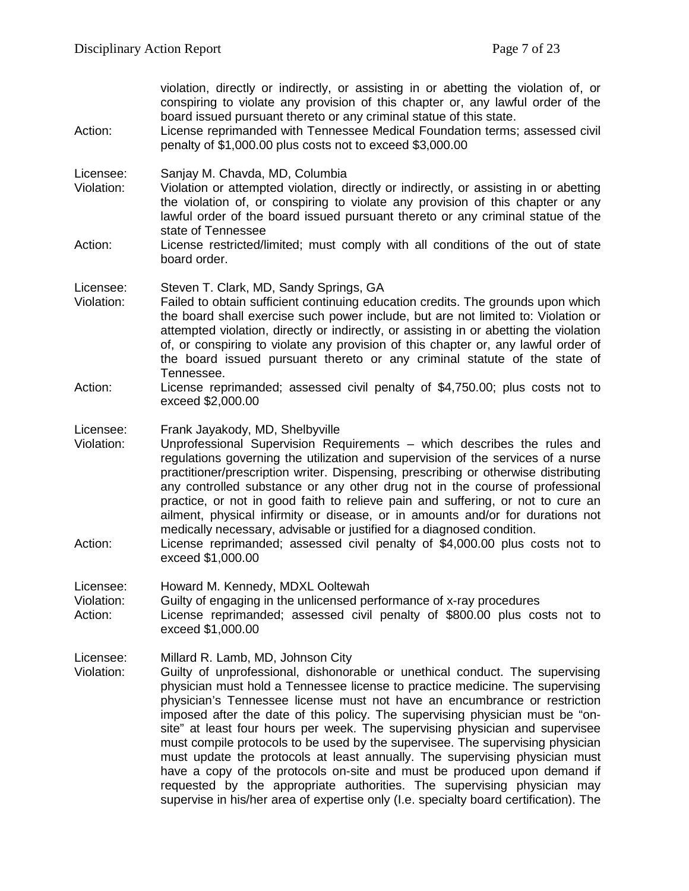violation, directly or indirectly, or assisting in or abetting the violation of, or conspiring to violate any provision of this chapter or, any lawful order of the board issued pursuant thereto or any criminal statue of this state. Action: License reprimanded with Tennessee Medical Foundation terms; assessed civil penalty of \$1,000.00 plus costs not to exceed \$3,000.00 Licensee: Sanjay M. Chavda, MD, Columbia Violation: Violation or attempted violation, directly or indirectly, or assisting in or abetting the violation of, or conspiring to violate any provision of this chapter or any lawful order of the board issued pursuant thereto or any criminal statue of the state of Tennessee Action: License restricted/limited; must comply with all conditions of the out of state board order. Licensee: Steven T. Clark, MD, Sandy Springs, GA Violation: Failed to obtain sufficient continuing education credits. The grounds upon which the board shall exercise such power include, but are not limited to: Violation or attempted violation, directly or indirectly, or assisting in or abetting the violation of, or conspiring to violate any provision of this chapter or, any lawful order of the board issued pursuant thereto or any criminal statute of the state of Tennessee. Action: License reprimanded; assessed civil penalty of \$4,750.00; plus costs not to exceed \$2,000.00 Licensee: Frank Jayakody, MD, Shelbyville Violation: Unprofessional Supervision Requirements – which describes the rules and regulations governing the utilization and supervision of the services of a nurse practitioner/prescription writer. Dispensing, prescribing or otherwise distributing any controlled substance or any other drug not in the course of professional practice, or not in good faith to relieve pain and suffering, or not to cure an ailment, physical infirmity or disease, or in amounts and/or for durations not medically necessary, advisable or justified for a diagnosed condition. Action: License reprimanded; assessed civil penalty of \$4,000.00 plus costs not to exceed \$1,000.00 Licensee: Howard M. Kennedy, MDXL Ooltewah Violation: Guilty of engaging in the unlicensed performance of x-ray procedures Action: License reprimanded; assessed civil penalty of \$800.00 plus costs not to exceed \$1,000.00 Licensee: Millard R. Lamb, MD, Johnson City Violation: Guilty of unprofessional, dishonorable or unethical conduct. The supervising physician must hold a Tennessee license to practice medicine. The supervising physician's Tennessee license must not have an encumbrance or restriction imposed after the date of this policy. The supervising physician must be "onsite" at least four hours per week. The supervising physician and supervisee must compile protocols to be used by the supervisee. The supervising physician must update the protocols at least annually. The supervising physician must have a copy of the protocols on-site and must be produced upon demand if requested by the appropriate authorities. The supervising physician may supervise in his/her area of expertise only (I.e. specialty board certification). The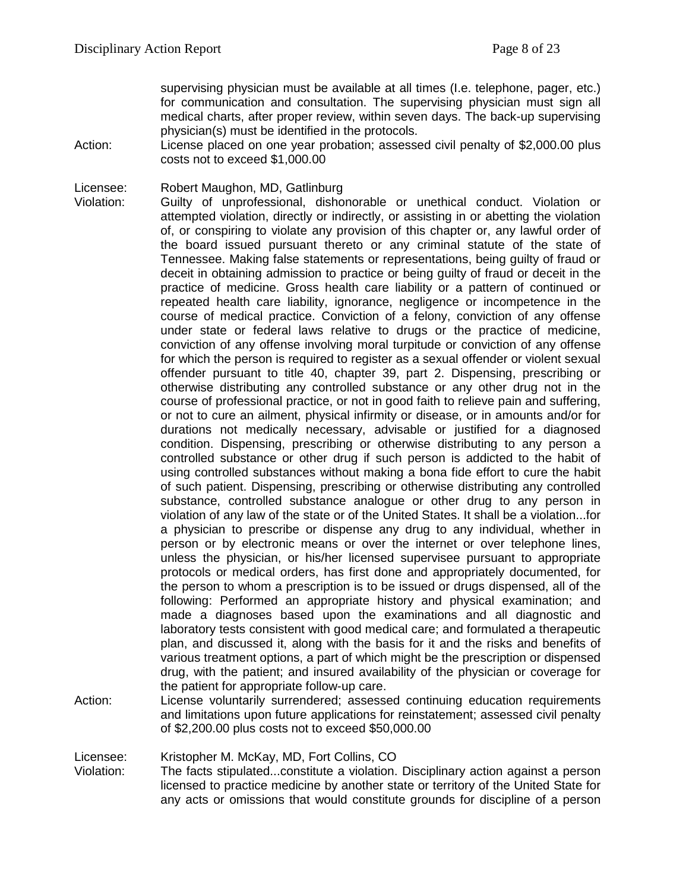supervising physician must be available at all times (I.e. telephone, pager, etc.) for communication and consultation. The supervising physician must sign all medical charts, after proper review, within seven days. The back-up supervising physician(s) must be identified in the protocols.

Action: License placed on one year probation; assessed civil penalty of \$2,000.00 plus costs not to exceed \$1,000.00

Licensee: Robert Maughon, MD, Gatlinburg

Violation: Guilty of unprofessional, dishonorable or unethical conduct. Violation or attempted violation, directly or indirectly, or assisting in or abetting the violation of, or conspiring to violate any provision of this chapter or, any lawful order of the board issued pursuant thereto or any criminal statute of the state of Tennessee. Making false statements or representations, being guilty of fraud or deceit in obtaining admission to practice or being guilty of fraud or deceit in the practice of medicine. Gross health care liability or a pattern of continued or repeated health care liability, ignorance, negligence or incompetence in the course of medical practice. Conviction of a felony, conviction of any offense under state or federal laws relative to drugs or the practice of medicine, conviction of any offense involving moral turpitude or conviction of any offense for which the person is required to register as a sexual offender or violent sexual offender pursuant to title 40, chapter 39, part 2. Dispensing, prescribing or otherwise distributing any controlled substance or any other drug not in the course of professional practice, or not in good faith to relieve pain and suffering, or not to cure an ailment, physical infirmity or disease, or in amounts and/or for durations not medically necessary, advisable or justified for a diagnosed condition. Dispensing, prescribing or otherwise distributing to any person a controlled substance or other drug if such person is addicted to the habit of using controlled substances without making a bona fide effort to cure the habit of such patient. Dispensing, prescribing or otherwise distributing any controlled substance, controlled substance analogue or other drug to any person in violation of any law of the state or of the United States. It shall be a violation...for a physician to prescribe or dispense any drug to any individual, whether in person or by electronic means or over the internet or over telephone lines, unless the physician, or his/her licensed supervisee pursuant to appropriate protocols or medical orders, has first done and appropriately documented, for the person to whom a prescription is to be issued or drugs dispensed, all of the following: Performed an appropriate history and physical examination; and made a diagnoses based upon the examinations and all diagnostic and laboratory tests consistent with good medical care; and formulated a therapeutic plan, and discussed it, along with the basis for it and the risks and benefits of various treatment options, a part of which might be the prescription or dispensed drug, with the patient; and insured availability of the physician or coverage for the patient for appropriate follow-up care.

Action: License voluntarily surrendered; assessed continuing education requirements and limitations upon future applications for reinstatement; assessed civil penalty of \$2,200.00 plus costs not to exceed \$50,000.00

Licensee: Kristopher M. McKay, MD, Fort Collins, CO

Violation: The facts stipulated...constitute a violation. Disciplinary action against a person licensed to practice medicine by another state or territory of the United State for any acts or omissions that would constitute grounds for discipline of a person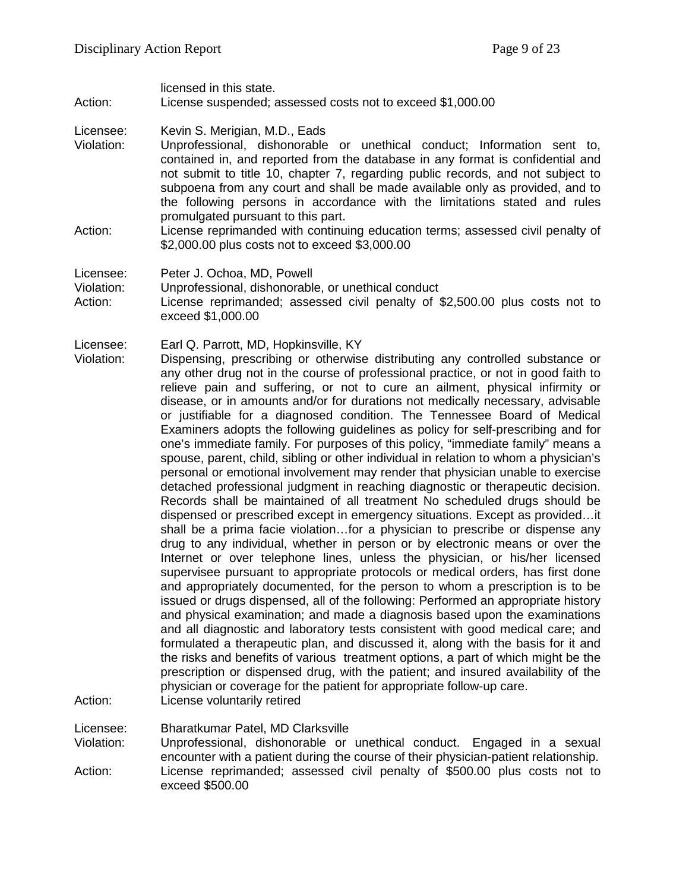licensed in this state. Action: License suspended; assessed costs not to exceed \$1,000.00

- Licensee: Kevin S. Merigian, M.D., Eads
- Violation: Unprofessional, dishonorable or unethical conduct; Information sent to, contained in, and reported from the database in any format is confidential and not submit to title 10, chapter 7, regarding public records, and not subject to subpoena from any court and shall be made available only as provided, and to the following persons in accordance with the limitations stated and rules promulgated pursuant to this part.
- Action: License reprimanded with continuing education terms; assessed civil penalty of \$2,000.00 plus costs not to exceed \$3,000.00

Licensee: Peter J. Ochoa, MD, Powell

Violation: Unprofessional, dishonorable, or unethical conduct

Action: License reprimanded; assessed civil penalty of \$2,500.00 plus costs not to exceed \$1,000.00

Licensee: Earl Q. Parrott, MD, Hopkinsville, KY

Violation: Dispensing, prescribing or otherwise distributing any controlled substance or any other drug not in the course of professional practice, or not in good faith to relieve pain and suffering, or not to cure an ailment, physical infirmity or disease, or in amounts and/or for durations not medically necessary, advisable or justifiable for a diagnosed condition. The Tennessee Board of Medical Examiners adopts the following guidelines as policy for self-prescribing and for one's immediate family. For purposes of this policy, "immediate family" means a spouse, parent, child, sibling or other individual in relation to whom a physician's personal or emotional involvement may render that physician unable to exercise detached professional judgment in reaching diagnostic or therapeutic decision. Records shall be maintained of all treatment No scheduled drugs should be dispensed or prescribed except in emergency situations. Except as provided…it shall be a prima facie violation…for a physician to prescribe or dispense any drug to any individual, whether in person or by electronic means or over the Internet or over telephone lines, unless the physician, or his/her licensed supervisee pursuant to appropriate protocols or medical orders, has first done and appropriately documented, for the person to whom a prescription is to be issued or drugs dispensed, all of the following: Performed an appropriate history and physical examination; and made a diagnosis based upon the examinations and all diagnostic and laboratory tests consistent with good medical care; and formulated a therapeutic plan, and discussed it, along with the basis for it and the risks and benefits of various treatment options, a part of which might be the prescription or dispensed drug, with the patient; and insured availability of the physician or coverage for the patient for appropriate follow-up care. Action: License voluntarily retired

Licensee: Bharatkumar Patel, MD Clarksville

Violation: Unprofessional, dishonorable or unethical conduct. Engaged in a sexual encounter with a patient during the course of their physician-patient relationship. Action: License reprimanded; assessed civil penalty of \$500.00 plus costs not to exceed \$500.00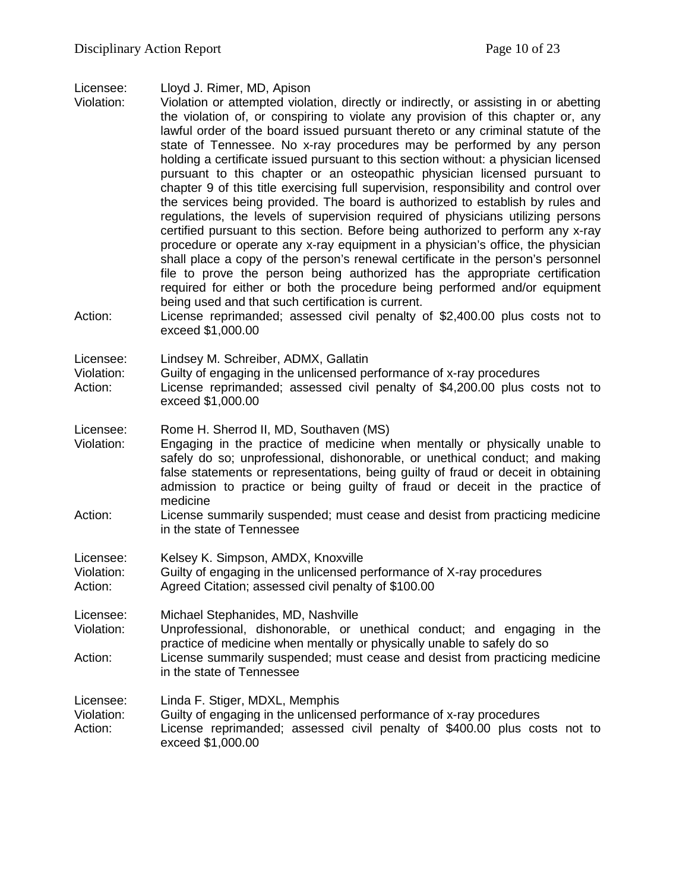| Licensee: | Lloyd J. Rimer, MD, Apison |  |  |  |
|-----------|----------------------------|--|--|--|
|-----------|----------------------------|--|--|--|

Violation: Violation or attempted violation, directly or indirectly, or assisting in or abetting the violation of, or conspiring to violate any provision of this chapter or, any lawful order of the board issued pursuant thereto or any criminal statute of the state of Tennessee. No x-ray procedures may be performed by any person holding a certificate issued pursuant to this section without: a physician licensed pursuant to this chapter or an osteopathic physician licensed pursuant to chapter 9 of this title exercising full supervision, responsibility and control over the services being provided. The board is authorized to establish by rules and regulations, the levels of supervision required of physicians utilizing persons certified pursuant to this section. Before being authorized to perform any x-ray procedure or operate any x-ray equipment in a physician's office, the physician shall place a copy of the person's renewal certificate in the person's personnel file to prove the person being authorized has the appropriate certification required for either or both the procedure being performed and/or equipment being used and that such certification is current. Action: License reprimanded; assessed civil penalty of \$2,400.00 plus costs not to exceed \$1,000.00

Licensee: Lindsey M. Schreiber, ADMX, Gallatin

Violation: Guilty of engaging in the unlicensed performance of x-ray procedures

Action: License reprimanded; assessed civil penalty of \$4,200.00 plus costs not to exceed \$1,000.00

Licensee: Rome H. Sherrod II, MD, Southaven (MS)

- Violation: Engaging in the practice of medicine when mentally or physically unable to safely do so; unprofessional, dishonorable, or unethical conduct; and making false statements or representations, being guilty of fraud or deceit in obtaining admission to practice or being guilty of fraud or deceit in the practice of medicine
- Action: License summarily suspended; must cease and desist from practicing medicine in the state of Tennessee

Licensee: Kelsey K. Simpson, AMDX, Knoxville

Violation: Guilty of engaging in the unlicensed performance of X-ray procedures

Action: Agreed Citation; assessed civil penalty of \$100.00

Licensee: Michael Stephanides, MD, Nashville

Violation: Unprofessional, dishonorable, or unethical conduct; and engaging in the practice of medicine when mentally or physically unable to safely do so Action: License summarily suspended; must cease and desist from practicing medicine in the state of Tennessee

Licensee: Linda F. Stiger, MDXL, Memphis Violation: Guilty of engaging in the unlicensed performance of x-ray procedures Action: License reprimanded; assessed civil penalty of \$400.00 plus costs not to exceed \$1,000.00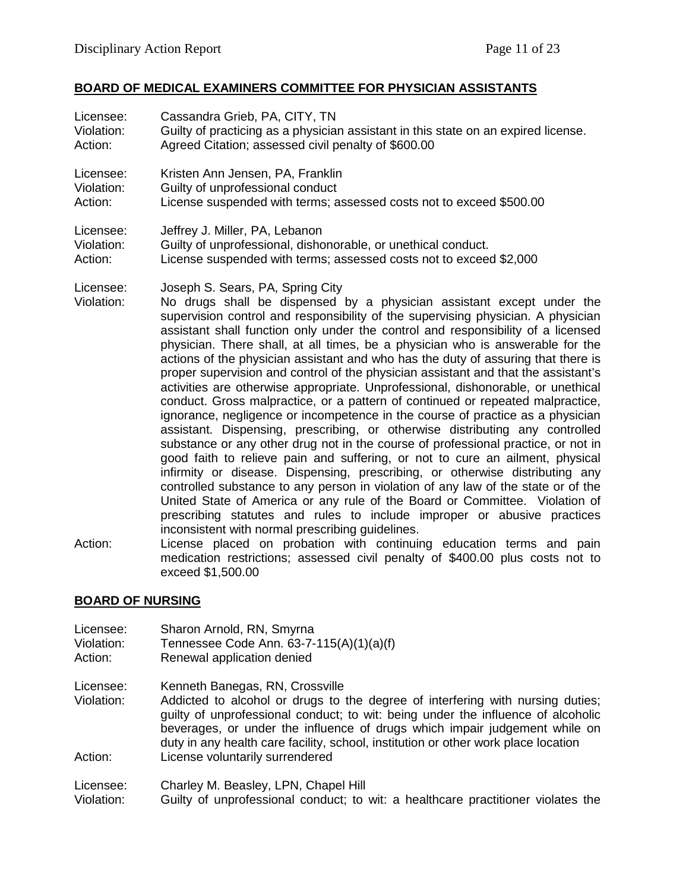## **BOARD OF MEDICAL EXAMINERS COMMITTEE FOR PHYSICIAN ASSISTANTS**

| Licensee:                          | Cassandra Grieb, PA, CITY, TN                                                                                                                                                                                                                                                                                                                                                                                                                                                                                                                                                                                                                                                                                                                                                                                                                                                                                                                                                                                                                                                                                                                                                                                                                                                                                                                                                                                                                                                                                                                                                                                                 |
|------------------------------------|-------------------------------------------------------------------------------------------------------------------------------------------------------------------------------------------------------------------------------------------------------------------------------------------------------------------------------------------------------------------------------------------------------------------------------------------------------------------------------------------------------------------------------------------------------------------------------------------------------------------------------------------------------------------------------------------------------------------------------------------------------------------------------------------------------------------------------------------------------------------------------------------------------------------------------------------------------------------------------------------------------------------------------------------------------------------------------------------------------------------------------------------------------------------------------------------------------------------------------------------------------------------------------------------------------------------------------------------------------------------------------------------------------------------------------------------------------------------------------------------------------------------------------------------------------------------------------------------------------------------------------|
| Violation:                         | Guilty of practicing as a physician assistant in this state on an expired license.                                                                                                                                                                                                                                                                                                                                                                                                                                                                                                                                                                                                                                                                                                                                                                                                                                                                                                                                                                                                                                                                                                                                                                                                                                                                                                                                                                                                                                                                                                                                            |
| Action:                            | Agreed Citation; assessed civil penalty of \$600.00                                                                                                                                                                                                                                                                                                                                                                                                                                                                                                                                                                                                                                                                                                                                                                                                                                                                                                                                                                                                                                                                                                                                                                                                                                                                                                                                                                                                                                                                                                                                                                           |
| Licensee:                          | Kristen Ann Jensen, PA, Franklin                                                                                                                                                                                                                                                                                                                                                                                                                                                                                                                                                                                                                                                                                                                                                                                                                                                                                                                                                                                                                                                                                                                                                                                                                                                                                                                                                                                                                                                                                                                                                                                              |
| Violation:                         | Guilty of unprofessional conduct                                                                                                                                                                                                                                                                                                                                                                                                                                                                                                                                                                                                                                                                                                                                                                                                                                                                                                                                                                                                                                                                                                                                                                                                                                                                                                                                                                                                                                                                                                                                                                                              |
| Action:                            | License suspended with terms; assessed costs not to exceed \$500.00                                                                                                                                                                                                                                                                                                                                                                                                                                                                                                                                                                                                                                                                                                                                                                                                                                                                                                                                                                                                                                                                                                                                                                                                                                                                                                                                                                                                                                                                                                                                                           |
| Licensee:                          | Jeffrey J. Miller, PA, Lebanon                                                                                                                                                                                                                                                                                                                                                                                                                                                                                                                                                                                                                                                                                                                                                                                                                                                                                                                                                                                                                                                                                                                                                                                                                                                                                                                                                                                                                                                                                                                                                                                                |
| Violation:                         | Guilty of unprofessional, dishonorable, or unethical conduct.                                                                                                                                                                                                                                                                                                                                                                                                                                                                                                                                                                                                                                                                                                                                                                                                                                                                                                                                                                                                                                                                                                                                                                                                                                                                                                                                                                                                                                                                                                                                                                 |
| Action:                            | License suspended with terms; assessed costs not to exceed \$2,000                                                                                                                                                                                                                                                                                                                                                                                                                                                                                                                                                                                                                                                                                                                                                                                                                                                                                                                                                                                                                                                                                                                                                                                                                                                                                                                                                                                                                                                                                                                                                            |
| Licensee:<br>Violation:<br>Action: | Joseph S. Sears, PA, Spring City<br>No drugs shall be dispensed by a physician assistant except under the<br>supervision control and responsibility of the supervising physician. A physician<br>assistant shall function only under the control and responsibility of a licensed<br>physician. There shall, at all times, be a physician who is answerable for the<br>actions of the physician assistant and who has the duty of assuring that there is<br>proper supervision and control of the physician assistant and that the assistant's<br>activities are otherwise appropriate. Unprofessional, dishonorable, or unethical<br>conduct. Gross malpractice, or a pattern of continued or repeated malpractice,<br>ignorance, negligence or incompetence in the course of practice as a physician<br>assistant. Dispensing, prescribing, or otherwise distributing any controlled<br>substance or any other drug not in the course of professional practice, or not in<br>good faith to relieve pain and suffering, or not to cure an ailment, physical<br>infirmity or disease. Dispensing, prescribing, or otherwise distributing any<br>controlled substance to any person in violation of any law of the state or of the<br>United State of America or any rule of the Board or Committee. Violation of<br>prescribing statutes and rules to include improper or abusive practices<br>inconsistent with normal prescribing guidelines.<br>License placed on probation with continuing education terms and pain<br>medication restrictions; assessed civil penalty of \$400.00 plus costs not to<br>exceed \$1,500.00 |

#### **BOARD OF NURSING**

| Licensee:               | Sharon Arnold, RN, Smyrna                                                                                                                                                                                                                                                                                                                                                 |
|-------------------------|---------------------------------------------------------------------------------------------------------------------------------------------------------------------------------------------------------------------------------------------------------------------------------------------------------------------------------------------------------------------------|
| Violation:              | Tennessee Code Ann. 63-7-115(A)(1)(a)(f)                                                                                                                                                                                                                                                                                                                                  |
| Action:                 | Renewal application denied                                                                                                                                                                                                                                                                                                                                                |
| Licensee:<br>Violation: | Kenneth Banegas, RN, Crossville<br>Addicted to alcohol or drugs to the degree of interfering with nursing duties;<br>guilty of unprofessional conduct; to wit: being under the influence of alcoholic<br>beverages, or under the influence of drugs which impair judgement while on<br>duty in any health care facility, school, institution or other work place location |
| Action:                 | License voluntarily surrendered                                                                                                                                                                                                                                                                                                                                           |
| Licensee:               | Charley M. Beasley, LPN, Chapel Hill                                                                                                                                                                                                                                                                                                                                      |
| Violation:              | Guilty of unprofessional conduct; to wit: a healthcare practitioner violates the                                                                                                                                                                                                                                                                                          |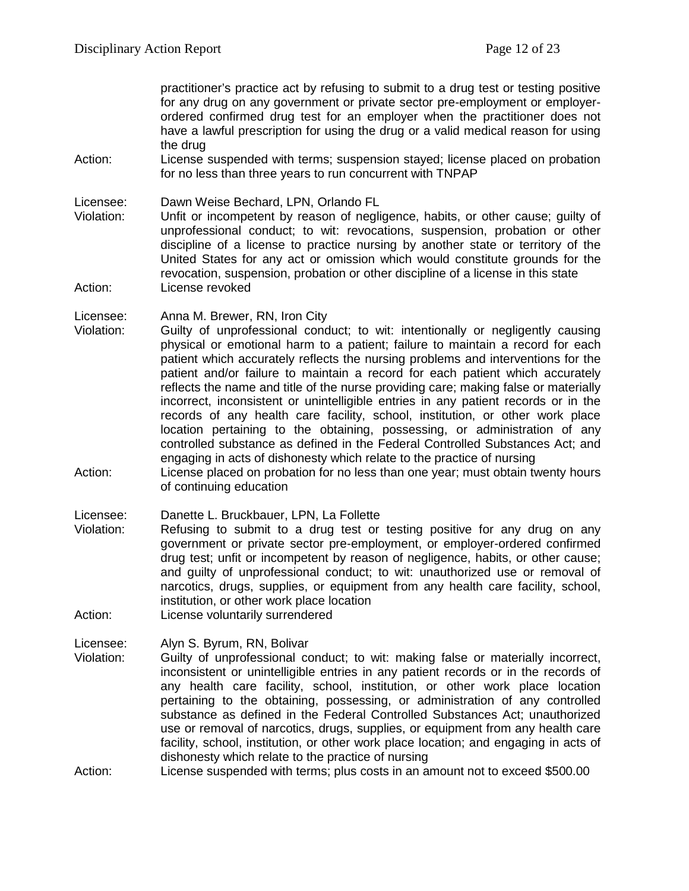practitioner's practice act by refusing to submit to a drug test or testing positive for any drug on any government or private sector pre-employment or employerordered confirmed drug test for an employer when the practitioner does not have a lawful prescription for using the drug or a valid medical reason for using the drug

Action: License suspended with terms; suspension stayed; license placed on probation for no less than three years to run concurrent with TNPAP

Licensee: Dawn Weise Bechard, LPN, Orlando FL

Violation: Unfit or incompetent by reason of negligence, habits, or other cause; guilty of unprofessional conduct; to wit: revocations, suspension, probation or other discipline of a license to practice nursing by another state or territory of the United States for any act or omission which would constitute grounds for the revocation, suspension, probation or other discipline of a license in this state Action: License revoked

Licensee: Anna M. Brewer, RN, Iron City

- Violation: Guilty of unprofessional conduct; to wit: intentionally or negligently causing physical or emotional harm to a patient; failure to maintain a record for each patient which accurately reflects the nursing problems and interventions for the patient and/or failure to maintain a record for each patient which accurately reflects the name and title of the nurse providing care; making false or materially incorrect, inconsistent or unintelligible entries in any patient records or in the records of any health care facility, school, institution, or other work place location pertaining to the obtaining, possessing, or administration of any controlled substance as defined in the Federal Controlled Substances Act; and engaging in acts of dishonesty which relate to the practice of nursing
- Action: License placed on probation for no less than one year; must obtain twenty hours of continuing education

Licensee: Danette L. Bruckbauer, LPN, La Follette

- Violation: Refusing to submit to a drug test or testing positive for any drug on any government or private sector pre-employment, or employer-ordered confirmed drug test; unfit or incompetent by reason of negligence, habits, or other cause; and guilty of unprofessional conduct; to wit: unauthorized use or removal of narcotics, drugs, supplies, or equipment from any health care facility, school, institution, or other work place location
- Action: License voluntarily surrendered

Licensee: Alyn S. Byrum, RN, Bolivar

- Guilty of unprofessional conduct; to wit: making false or materially incorrect, inconsistent or unintelligible entries in any patient records or in the records of any health care facility, school, institution, or other work place location pertaining to the obtaining, possessing, or administration of any controlled substance as defined in the Federal Controlled Substances Act; unauthorized use or removal of narcotics, drugs, supplies, or equipment from any health care facility, school, institution, or other work place location; and engaging in acts of dishonesty which relate to the practice of nursing
- Action: License suspended with terms; plus costs in an amount not to exceed \$500.00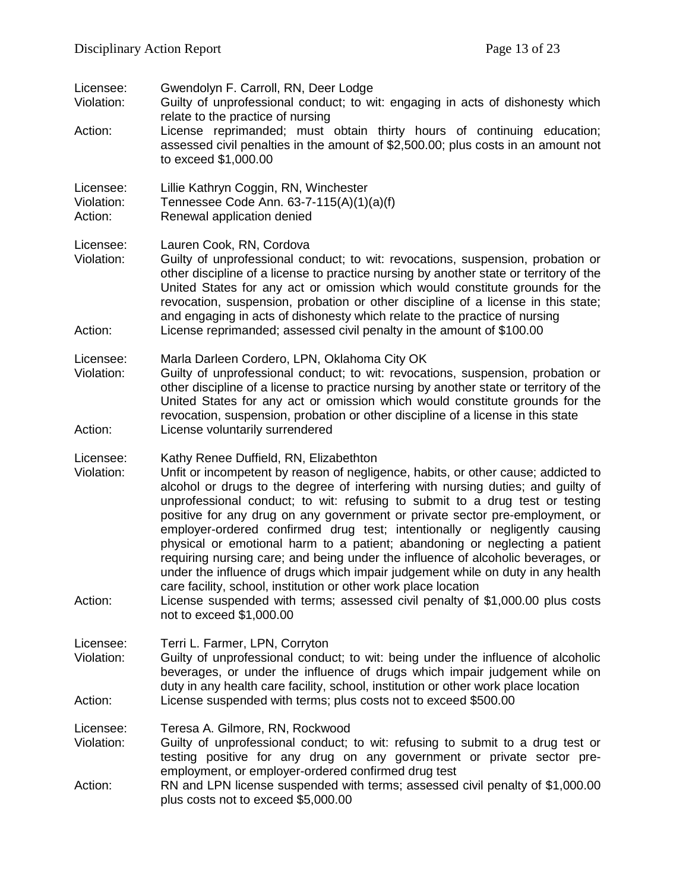| Licensee:<br>Violation:<br>Action: | Gwendolyn F. Carroll, RN, Deer Lodge<br>Guilty of unprofessional conduct; to wit: engaging in acts of dishonesty which<br>relate to the practice of nursing<br>License reprimanded; must obtain thirty hours of continuing education;<br>assessed civil penalties in the amount of \$2,500.00; plus costs in an amount not<br>to exceed \$1,000.00                                                                                                                                                                                                                                                                                                                                                                                                                                                                                                                                                  |
|------------------------------------|-----------------------------------------------------------------------------------------------------------------------------------------------------------------------------------------------------------------------------------------------------------------------------------------------------------------------------------------------------------------------------------------------------------------------------------------------------------------------------------------------------------------------------------------------------------------------------------------------------------------------------------------------------------------------------------------------------------------------------------------------------------------------------------------------------------------------------------------------------------------------------------------------------|
| Licensee:<br>Violation:<br>Action: | Lillie Kathryn Coggin, RN, Winchester<br>Tennessee Code Ann. 63-7-115(A)(1)(a)(f)<br>Renewal application denied                                                                                                                                                                                                                                                                                                                                                                                                                                                                                                                                                                                                                                                                                                                                                                                     |
| Licensee:<br>Violation:<br>Action: | Lauren Cook, RN, Cordova<br>Guilty of unprofessional conduct; to wit: revocations, suspension, probation or<br>other discipline of a license to practice nursing by another state or territory of the<br>United States for any act or omission which would constitute grounds for the<br>revocation, suspension, probation or other discipline of a license in this state;<br>and engaging in acts of dishonesty which relate to the practice of nursing<br>License reprimanded; assessed civil penalty in the amount of \$100.00                                                                                                                                                                                                                                                                                                                                                                   |
| Licensee:<br>Violation:<br>Action: | Marla Darleen Cordero, LPN, Oklahoma City OK<br>Guilty of unprofessional conduct; to wit: revocations, suspension, probation or<br>other discipline of a license to practice nursing by another state or territory of the<br>United States for any act or omission which would constitute grounds for the<br>revocation, suspension, probation or other discipline of a license in this state<br>License voluntarily surrendered                                                                                                                                                                                                                                                                                                                                                                                                                                                                    |
| Licensee:<br>Violation:<br>Action: | Kathy Renee Duffield, RN, Elizabethton<br>Unfit or incompetent by reason of negligence, habits, or other cause; addicted to<br>alcohol or drugs to the degree of interfering with nursing duties; and guilty of<br>unprofessional conduct; to wit: refusing to submit to a drug test or testing<br>positive for any drug on any government or private sector pre-employment, or<br>employer-ordered confirmed drug test; intentionally or negligently causing<br>physical or emotional harm to a patient; abandoning or neglecting a patient<br>requiring nursing care; and being under the influence of alcoholic beverages, or<br>under the influence of drugs which impair judgement while on duty in any health<br>care facility, school, institution or other work place location<br>License suspended with terms; assessed civil penalty of \$1,000.00 plus costs<br>not to exceed \$1,000.00 |
| Licensee:<br>Violation:<br>Action: | Terri L. Farmer, LPN, Corryton<br>Guilty of unprofessional conduct; to wit: being under the influence of alcoholic<br>beverages, or under the influence of drugs which impair judgement while on<br>duty in any health care facility, school, institution or other work place location<br>License suspended with terms; plus costs not to exceed \$500.00                                                                                                                                                                                                                                                                                                                                                                                                                                                                                                                                           |
| Licensee:<br>Violation:<br>Action: | Teresa A. Gilmore, RN, Rockwood<br>Guilty of unprofessional conduct; to wit: refusing to submit to a drug test or<br>testing positive for any drug on any government or private sector pre-<br>employment, or employer-ordered confirmed drug test<br>RN and LPN license suspended with terms; assessed civil penalty of \$1,000.00                                                                                                                                                                                                                                                                                                                                                                                                                                                                                                                                                                 |
|                                    | plus costs not to exceed \$5,000.00                                                                                                                                                                                                                                                                                                                                                                                                                                                                                                                                                                                                                                                                                                                                                                                                                                                                 |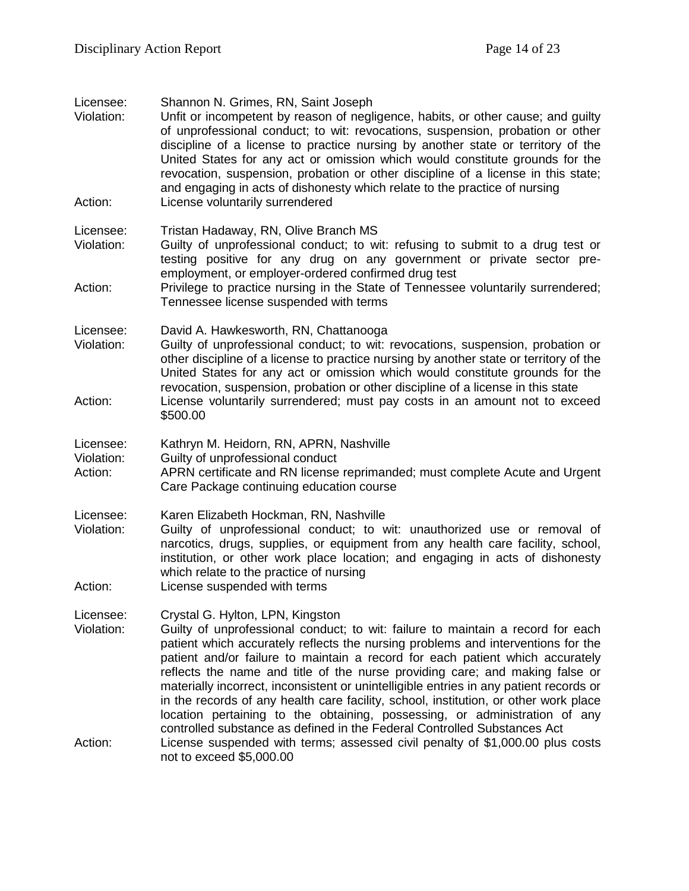| Licensee:<br>Violation:<br>Action: | Shannon N. Grimes, RN, Saint Joseph<br>Unfit or incompetent by reason of negligence, habits, or other cause; and guilty<br>of unprofessional conduct; to wit: revocations, suspension, probation or other<br>discipline of a license to practice nursing by another state or territory of the<br>United States for any act or omission which would constitute grounds for the<br>revocation, suspension, probation or other discipline of a license in this state;<br>and engaging in acts of dishonesty which relate to the practice of nursing<br>License voluntarily surrendered                                                                                                                                  |
|------------------------------------|----------------------------------------------------------------------------------------------------------------------------------------------------------------------------------------------------------------------------------------------------------------------------------------------------------------------------------------------------------------------------------------------------------------------------------------------------------------------------------------------------------------------------------------------------------------------------------------------------------------------------------------------------------------------------------------------------------------------|
|                                    |                                                                                                                                                                                                                                                                                                                                                                                                                                                                                                                                                                                                                                                                                                                      |
| Licensee:<br>Violation:            | Tristan Hadaway, RN, Olive Branch MS<br>Guilty of unprofessional conduct; to wit: refusing to submit to a drug test or<br>testing positive for any drug on any government or private sector pre-<br>employment, or employer-ordered confirmed drug test                                                                                                                                                                                                                                                                                                                                                                                                                                                              |
| Action:                            | Privilege to practice nursing in the State of Tennessee voluntarily surrendered;<br>Tennessee license suspended with terms                                                                                                                                                                                                                                                                                                                                                                                                                                                                                                                                                                                           |
| Licensee:<br>Violation:            | David A. Hawkesworth, RN, Chattanooga<br>Guilty of unprofessional conduct; to wit: revocations, suspension, probation or<br>other discipline of a license to practice nursing by another state or territory of the<br>United States for any act or omission which would constitute grounds for the<br>revocation, suspension, probation or other discipline of a license in this state                                                                                                                                                                                                                                                                                                                               |
| Action:                            | License voluntarily surrendered; must pay costs in an amount not to exceed<br>\$500.00                                                                                                                                                                                                                                                                                                                                                                                                                                                                                                                                                                                                                               |
| Licensee:<br>Violation:<br>Action: | Kathryn M. Heidorn, RN, APRN, Nashville<br>Guilty of unprofessional conduct<br>APRN certificate and RN license reprimanded; must complete Acute and Urgent<br>Care Package continuing education course                                                                                                                                                                                                                                                                                                                                                                                                                                                                                                               |
| Licensee:<br>Violation:<br>Action: | Karen Elizabeth Hockman, RN, Nashville<br>Guilty of unprofessional conduct; to wit: unauthorized use or removal of<br>narcotics, drugs, supplies, or equipment from any health care facility, school,<br>institution, or other work place location; and engaging in acts of dishonesty<br>which relate to the practice of nursing<br>License suspended with terms                                                                                                                                                                                                                                                                                                                                                    |
|                                    |                                                                                                                                                                                                                                                                                                                                                                                                                                                                                                                                                                                                                                                                                                                      |
| Licensee:<br>Violation:            | Crystal G. Hylton, LPN, Kingston<br>Guilty of unprofessional conduct; to wit: failure to maintain a record for each<br>patient which accurately reflects the nursing problems and interventions for the<br>patient and/or failure to maintain a record for each patient which accurately<br>reflects the name and title of the nurse providing care; and making false or<br>materially incorrect, inconsistent or unintelligible entries in any patient records or<br>in the records of any health care facility, school, institution, or other work place<br>location pertaining to the obtaining, possessing, or administration of any<br>controlled substance as defined in the Federal Controlled Substances Act |
| Action:                            | License suspended with terms; assessed civil penalty of \$1,000.00 plus costs<br>not to exceed \$5,000.00                                                                                                                                                                                                                                                                                                                                                                                                                                                                                                                                                                                                            |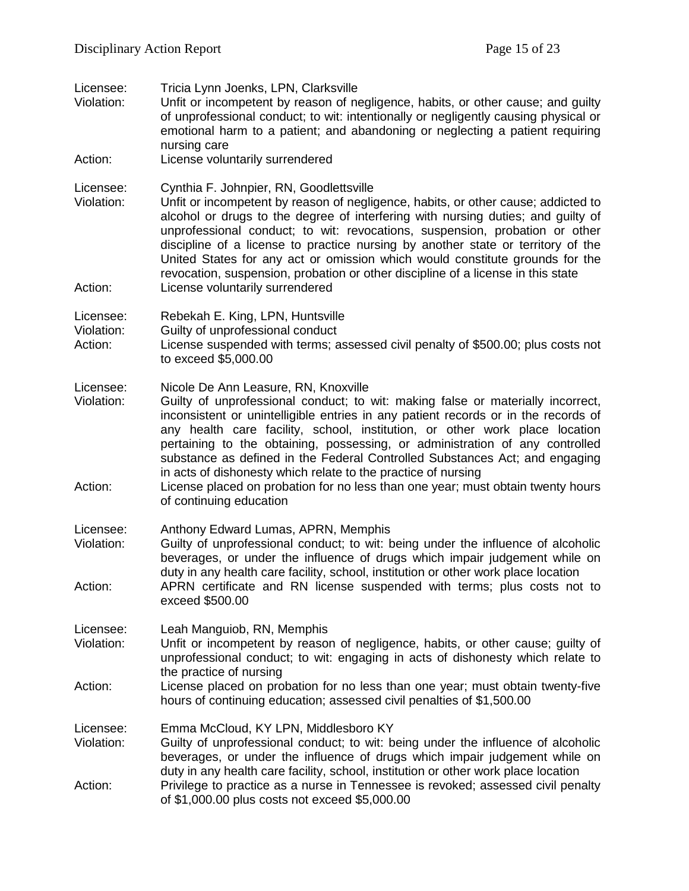| Licensee:<br>Violation:<br>Action: | Tricia Lynn Joenks, LPN, Clarksville<br>Unfit or incompetent by reason of negligence, habits, or other cause; and guilty<br>of unprofessional conduct; to wit: intentionally or negligently causing physical or<br>emotional harm to a patient; and abandoning or neglecting a patient requiring<br>nursing care<br>License voluntarily surrendered                                                                                                                                                                                                                                                                                        |
|------------------------------------|--------------------------------------------------------------------------------------------------------------------------------------------------------------------------------------------------------------------------------------------------------------------------------------------------------------------------------------------------------------------------------------------------------------------------------------------------------------------------------------------------------------------------------------------------------------------------------------------------------------------------------------------|
| Licensee:<br>Violation:<br>Action: | Cynthia F. Johnpier, RN, Goodlettsville<br>Unfit or incompetent by reason of negligence, habits, or other cause; addicted to<br>alcohol or drugs to the degree of interfering with nursing duties; and guilty of<br>unprofessional conduct; to wit: revocations, suspension, probation or other<br>discipline of a license to practice nursing by another state or territory of the<br>United States for any act or omission which would constitute grounds for the<br>revocation, suspension, probation or other discipline of a license in this state<br>License voluntarily surrendered                                                 |
| Licensee:<br>Violation:<br>Action: | Rebekah E. King, LPN, Huntsville<br>Guilty of unprofessional conduct<br>License suspended with terms; assessed civil penalty of \$500.00; plus costs not<br>to exceed \$5,000.00                                                                                                                                                                                                                                                                                                                                                                                                                                                           |
| Licensee:<br>Violation:<br>Action: | Nicole De Ann Leasure, RN, Knoxville<br>Guilty of unprofessional conduct; to wit: making false or materially incorrect,<br>inconsistent or unintelligible entries in any patient records or in the records of<br>any health care facility, school, institution, or other work place location<br>pertaining to the obtaining, possessing, or administration of any controlled<br>substance as defined in the Federal Controlled Substances Act; and engaging<br>in acts of dishonesty which relate to the practice of nursing<br>License placed on probation for no less than one year; must obtain twenty hours<br>of continuing education |
| Licensee:<br>Violation:<br>Action: | Anthony Edward Lumas, APRN, Memphis<br>Guilty of unprofessional conduct; to wit: being under the influence of alcoholic<br>beverages, or under the influence of drugs which impair judgement while on<br>duty in any health care facility, school, institution or other work place location<br>APRN certificate and RN license suspended with terms; plus costs not to<br>exceed \$500.00                                                                                                                                                                                                                                                  |
| Licensee:<br>Violation:            | Leah Manguiob, RN, Memphis<br>Unfit or incompetent by reason of negligence, habits, or other cause; guilty of<br>unprofessional conduct; to wit: engaging in acts of dishonesty which relate to<br>the practice of nursing                                                                                                                                                                                                                                                                                                                                                                                                                 |
| Action:                            | License placed on probation for no less than one year; must obtain twenty-five<br>hours of continuing education; assessed civil penalties of \$1,500.00                                                                                                                                                                                                                                                                                                                                                                                                                                                                                    |
| Licensee:<br>Violation:            | Emma McCloud, KY LPN, Middlesboro KY<br>Guilty of unprofessional conduct; to wit: being under the influence of alcoholic<br>beverages, or under the influence of drugs which impair judgement while on<br>duty in any health care facility, school, institution or other work place location                                                                                                                                                                                                                                                                                                                                               |
| Action:                            | Privilege to practice as a nurse in Tennessee is revoked; assessed civil penalty<br>of \$1,000.00 plus costs not exceed \$5,000.00                                                                                                                                                                                                                                                                                                                                                                                                                                                                                                         |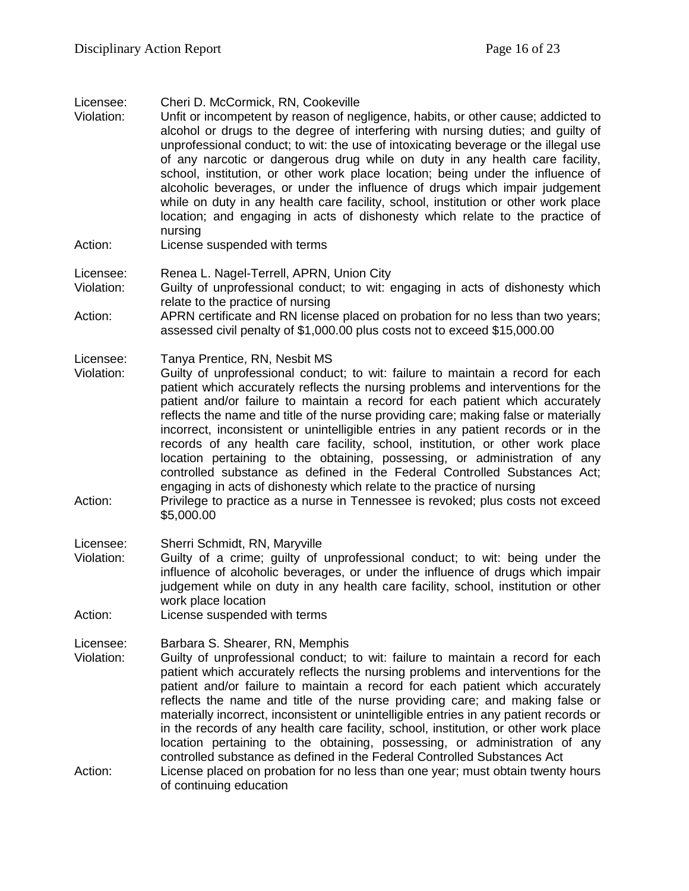Licensee: Cheri D. McCormick, RN, Cookeville

- Violation: Unfit or incompetent by reason of negligence, habits, or other cause; addicted to alcohol or drugs to the degree of interfering with nursing duties; and guilty of unprofessional conduct; to wit: the use of intoxicating beverage or the illegal use of any narcotic or dangerous drug while on duty in any health care facility, school, institution, or other work place location; being under the influence of alcoholic beverages, or under the influence of drugs which impair judgement while on duty in any health care facility, school, institution or other work place location; and engaging in acts of dishonesty which relate to the practice of nursing
- Action: License suspended with terms

Licensee: Renea L. Nagel-Terrell, APRN, Union City

Violation: Guilty of unprofessional conduct; to wit: engaging in acts of dishonesty which relate to the practice of nursing

Action: APRN certificate and RN license placed on probation for no less than two years; assessed civil penalty of \$1,000.00 plus costs not to exceed \$15,000.00

Licensee: Tanya Prentice, RN, Nesbit MS

- Violation: Guilty of unprofessional conduct; to wit: failure to maintain a record for each patient which accurately reflects the nursing problems and interventions for the patient and/or failure to maintain a record for each patient which accurately reflects the name and title of the nurse providing care; making false or materially incorrect, inconsistent or unintelligible entries in any patient records or in the records of any health care facility, school, institution, or other work place location pertaining to the obtaining, possessing, or administration of any controlled substance as defined in the Federal Controlled Substances Act; engaging in acts of dishonesty which relate to the practice of nursing
- Action: Privilege to practice as a nurse in Tennessee is revoked; plus costs not exceed \$5,000.00
- Licensee: Sherri Schmidt, RN, Maryville
- Violation: Guilty of a crime; guilty of unprofessional conduct; to wit: being under the influence of alcoholic beverages, or under the influence of drugs which impair judgement while on duty in any health care facility, school, institution or other work place location
- Action: License suspended with terms

Licensee: Barbara S. Shearer, RN, Memphis<br>Violation: Guilty of unprofessional conduct:

- Guilty of unprofessional conduct; to wit: failure to maintain a record for each patient which accurately reflects the nursing problems and interventions for the patient and/or failure to maintain a record for each patient which accurately reflects the name and title of the nurse providing care; and making false or materially incorrect, inconsistent or unintelligible entries in any patient records or in the records of any health care facility, school, institution, or other work place location pertaining to the obtaining, possessing, or administration of any controlled substance as defined in the Federal Controlled Substances Act Action: License placed on probation for no less than one year; must obtain twenty hours
- of continuing education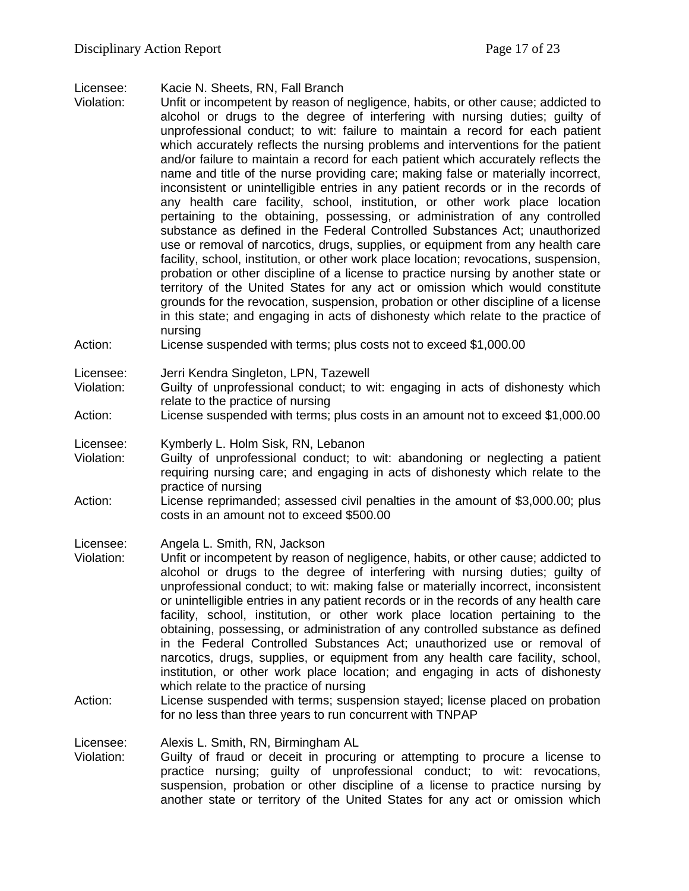Licensee: Kacie N. Sheets, RN, Fall Branch

- Violation: Unfit or incompetent by reason of negligence, habits, or other cause; addicted to alcohol or drugs to the degree of interfering with nursing duties; guilty of unprofessional conduct; to wit: failure to maintain a record for each patient which accurately reflects the nursing problems and interventions for the patient and/or failure to maintain a record for each patient which accurately reflects the name and title of the nurse providing care; making false or materially incorrect, inconsistent or unintelligible entries in any patient records or in the records of any health care facility, school, institution, or other work place location pertaining to the obtaining, possessing, or administration of any controlled substance as defined in the Federal Controlled Substances Act; unauthorized use or removal of narcotics, drugs, supplies, or equipment from any health care facility, school, institution, or other work place location; revocations, suspension, probation or other discipline of a license to practice nursing by another state or territory of the United States for any act or omission which would constitute grounds for the revocation, suspension, probation or other discipline of a license in this state; and engaging in acts of dishonesty which relate to the practice of nursing
- Action: License suspended with terms; plus costs not to exceed \$1,000.00

Licensee: Jerri Kendra Singleton, LPN, Tazewell

- Violation: Guilty of unprofessional conduct; to wit: engaging in acts of dishonesty which relate to the practice of nursing
- Action: License suspended with terms; plus costs in an amount not to exceed \$1,000.00
- Licensee: Kymberly L. Holm Sisk, RN, Lebanon
- Violation: Guilty of unprofessional conduct; to wit: abandoning or neglecting a patient requiring nursing care; and engaging in acts of dishonesty which relate to the practice of nursing
- Action: License reprimanded; assessed civil penalties in the amount of \$3,000.00; plus costs in an amount not to exceed \$500.00

Licensee: Angela L. Smith, RN, Jackson

- Violation: Unfit or incompetent by reason of negligence, habits, or other cause; addicted to alcohol or drugs to the degree of interfering with nursing duties; guilty of unprofessional conduct; to wit: making false or materially incorrect, inconsistent or unintelligible entries in any patient records or in the records of any health care facility, school, institution, or other work place location pertaining to the obtaining, possessing, or administration of any controlled substance as defined in the Federal Controlled Substances Act; unauthorized use or removal of narcotics, drugs, supplies, or equipment from any health care facility, school, institution, or other work place location; and engaging in acts of dishonesty which relate to the practice of nursing
- Action: License suspended with terms; suspension stayed; license placed on probation for no less than three years to run concurrent with TNPAP

Licensee: Alexis L. Smith, RN, Birmingham AL<br>Violation: Guilty of fraud or deceit in procuri

Guilty of fraud or deceit in procuring or attempting to procure a license to practice nursing; guilty of unprofessional conduct; to wit: revocations, suspension, probation or other discipline of a license to practice nursing by another state or territory of the United States for any act or omission which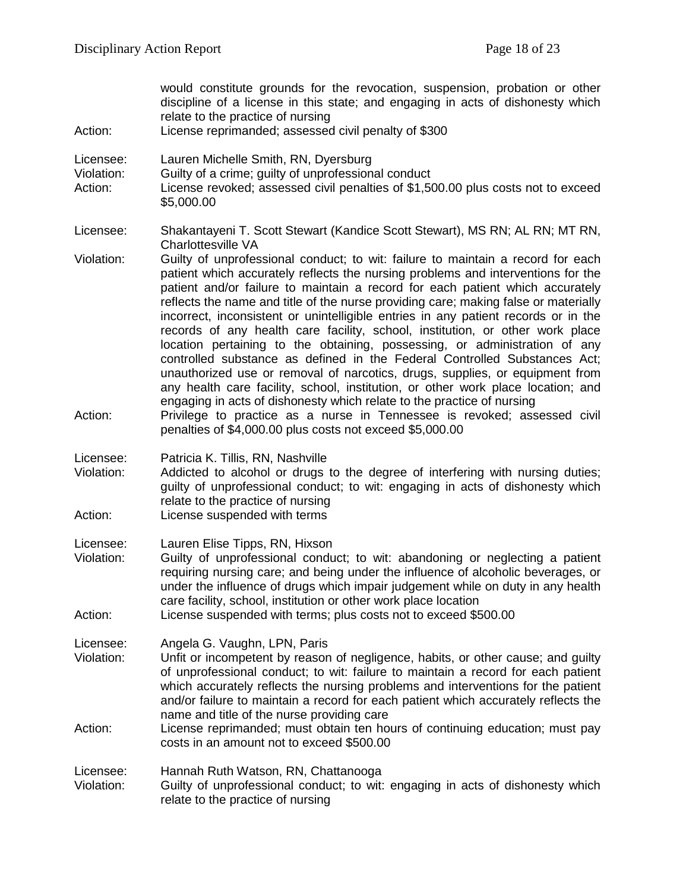would constitute grounds for the revocation, suspension, probation or other discipline of a license in this state; and engaging in acts of dishonesty which relate to the practice of nursing Action: License reprimanded; assessed civil penalty of \$300 Licensee: Lauren Michelle Smith, RN, Dyersburg Violation: Guilty of a crime; guilty of unprofessional conduct Action: License revoked; assessed civil penalties of \$1,500.00 plus costs not to exceed \$5,000.00 Licensee: Shakantayeni T. Scott Stewart (Kandice Scott Stewart), MS RN; AL RN; MT RN, Charlottesville VA Violation: Guilty of unprofessional conduct; to wit: failure to maintain a record for each patient which accurately reflects the nursing problems and interventions for the patient and/or failure to maintain a record for each patient which accurately reflects the name and title of the nurse providing care; making false or materially incorrect, inconsistent or unintelligible entries in any patient records or in the records of any health care facility, school, institution, or other work place location pertaining to the obtaining, possessing, or administration of any controlled substance as defined in the Federal Controlled Substances Act; unauthorized use or removal of narcotics, drugs, supplies, or equipment from any health care facility, school, institution, or other work place location; and engaging in acts of dishonesty which relate to the practice of nursing Action: Privilege to practice as a nurse in Tennessee is revoked; assessed civil penalties of \$4,000.00 plus costs not exceed \$5,000.00 Licensee: Patricia K. Tillis, RN, Nashville Violation: Addicted to alcohol or drugs to the degree of interfering with nursing duties; guilty of unprofessional conduct; to wit: engaging in acts of dishonesty which relate to the practice of nursing Action: License suspended with terms Licensee: Lauren Elise Tipps, RN, Hixson Violation: Guilty of unprofessional conduct; to wit: abandoning or neglecting a patient requiring nursing care; and being under the influence of alcoholic beverages, or under the influence of drugs which impair judgement while on duty in any health care facility, school, institution or other work place location Action: License suspended with terms; plus costs not to exceed \$500.00 Licensee: Angela G. Vaughn, LPN, Paris<br>Violation: Unfit or incompetent by reason Unfit or incompetent by reason of negligence, habits, or other cause; and guilty of unprofessional conduct; to wit: failure to maintain a record for each patient which accurately reflects the nursing problems and interventions for the patient and/or failure to maintain a record for each patient which accurately reflects the name and title of the nurse providing care Action: License reprimanded; must obtain ten hours of continuing education; must pay costs in an amount not to exceed \$500.00 Licensee: Hannah Ruth Watson, RN, Chattanooga Violation: Guilty of unprofessional conduct; to wit: engaging in acts of dishonesty which relate to the practice of nursing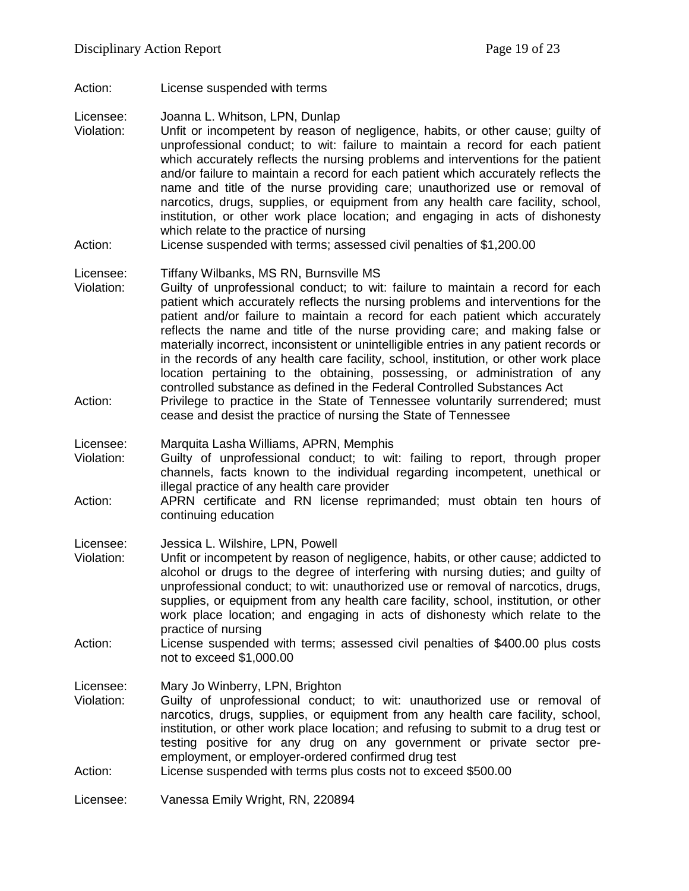Action: License suspended with terms

Licensee: Joanna L. Whitson, LPN, Dunlap<br>Violation: Unfit or incompetent by reason o

- Unfit or incompetent by reason of negligence, habits, or other cause; guilty of unprofessional conduct; to wit: failure to maintain a record for each patient which accurately reflects the nursing problems and interventions for the patient and/or failure to maintain a record for each patient which accurately reflects the name and title of the nurse providing care; unauthorized use or removal of narcotics, drugs, supplies, or equipment from any health care facility, school, institution, or other work place location; and engaging in acts of dishonesty which relate to the practice of nursing
- Action: License suspended with terms; assessed civil penalties of \$1,200.00

#### Licensee: Tiffany Wilbanks, MS RN, Burnsville MS

- Violation: Guilty of unprofessional conduct; to wit: failure to maintain a record for each patient which accurately reflects the nursing problems and interventions for the patient and/or failure to maintain a record for each patient which accurately reflects the name and title of the nurse providing care; and making false or materially incorrect, inconsistent or unintelligible entries in any patient records or in the records of any health care facility, school, institution, or other work place location pertaining to the obtaining, possessing, or administration of any controlled substance as defined in the Federal Controlled Substances Act
- Action: Privilege to practice in the State of Tennessee voluntarily surrendered; must cease and desist the practice of nursing the State of Tennessee
- Licensee: Marquita Lasha Williams, APRN, Memphis
- Violation: Guilty of unprofessional conduct; to wit: failing to report, through proper channels, facts known to the individual regarding incompetent, unethical or illegal practice of any health care provider
- Action: APRN certificate and RN license reprimanded; must obtain ten hours of continuing education

Licensee: Jessica L. Wilshire, LPN, Powell

- Violation: Unfit or incompetent by reason of negligence, habits, or other cause; addicted to alcohol or drugs to the degree of interfering with nursing duties; and guilty of unprofessional conduct; to wit: unauthorized use or removal of narcotics, drugs, supplies, or equipment from any health care facility, school, institution, or other work place location; and engaging in acts of dishonesty which relate to the practice of nursing
- Action: License suspended with terms; assessed civil penalties of \$400.00 plus costs not to exceed \$1,000.00

Licensee: Mary Jo Winberry, LPN, Brighton

- Violation: Guilty of unprofessional conduct; to wit: unauthorized use or removal of narcotics, drugs, supplies, or equipment from any health care facility, school, institution, or other work place location; and refusing to submit to a drug test or testing positive for any drug on any government or private sector preemployment, or employer-ordered confirmed drug test
- Action: License suspended with terms plus costs not to exceed \$500.00

Licensee: Vanessa Emily Wright, RN, 220894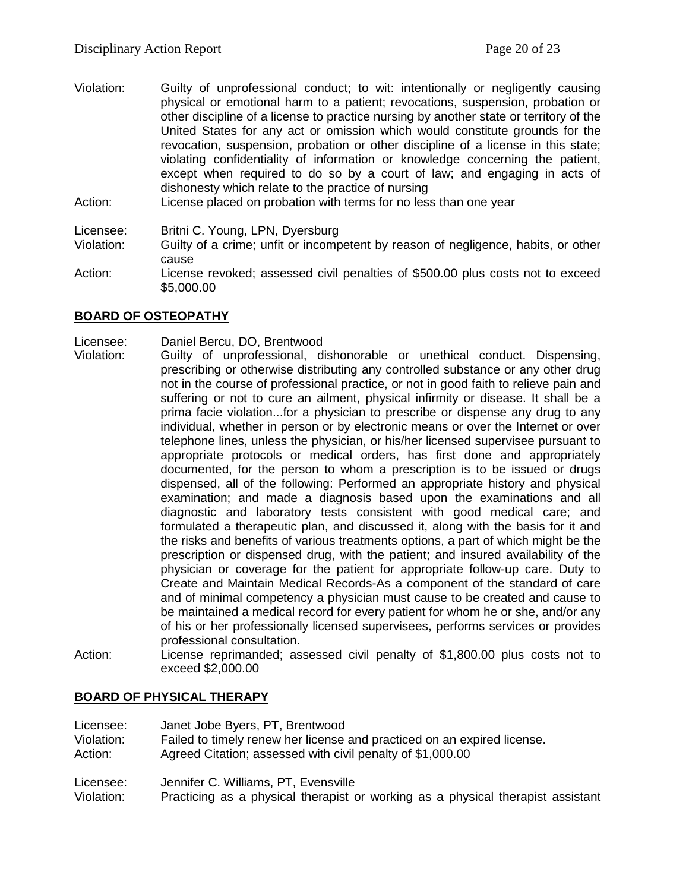Violation: Guilty of unprofessional conduct; to wit: intentionally or negligently causing physical or emotional harm to a patient; revocations, suspension, probation or other discipline of a license to practice nursing by another state or territory of the United States for any act or omission which would constitute grounds for the revocation, suspension, probation or other discipline of a license in this state; violating confidentiality of information or knowledge concerning the patient, except when required to do so by a court of law; and engaging in acts of dishonesty which relate to the practice of nursing

Action: License placed on probation with terms for no less than one year

Licensee: Britni C. Young, LPN, Dyersburg

- Violation: Guilty of a crime; unfit or incompetent by reason of negligence, habits, or other cause
- Action: License revoked; assessed civil penalties of \$500.00 plus costs not to exceed \$5,000.00

## **BOARD OF OSTEOPATHY**

#### Licensee: Daniel Bercu, DO, Brentwood

- Violation: Guilty of unprofessional, dishonorable or unethical conduct. Dispensing, prescribing or otherwise distributing any controlled substance or any other drug not in the course of professional practice, or not in good faith to relieve pain and suffering or not to cure an ailment, physical infirmity or disease. It shall be a prima facie violation...for a physician to prescribe or dispense any drug to any individual, whether in person or by electronic means or over the Internet or over telephone lines, unless the physician, or his/her licensed supervisee pursuant to appropriate protocols or medical orders, has first done and appropriately documented, for the person to whom a prescription is to be issued or drugs dispensed, all of the following: Performed an appropriate history and physical examination; and made a diagnosis based upon the examinations and all diagnostic and laboratory tests consistent with good medical care; and formulated a therapeutic plan, and discussed it, along with the basis for it and the risks and benefits of various treatments options, a part of which might be the prescription or dispensed drug, with the patient; and insured availability of the physician or coverage for the patient for appropriate follow-up care. Duty to Create and Maintain Medical Records-As a component of the standard of care and of minimal competency a physician must cause to be created and cause to be maintained a medical record for every patient for whom he or she, and/or any of his or her professionally licensed supervisees, performs services or provides professional consultation.
- Action: License reprimanded; assessed civil penalty of \$1,800.00 plus costs not to exceed \$2,000.00

#### **BOARD OF PHYSICAL THERAPY**

| Licensee:  | Janet Jobe Byers, PT, Brentwood                                         |
|------------|-------------------------------------------------------------------------|
| Violation: | Failed to timely renew her license and practiced on an expired license. |
| Action:    | Agreed Citation; assessed with civil penalty of \$1,000.00              |
| Licensee:  | Jennifer C. Williams, PT. Evensville                                    |

Violation: Practicing as a physical therapist or working as a physical therapist assistant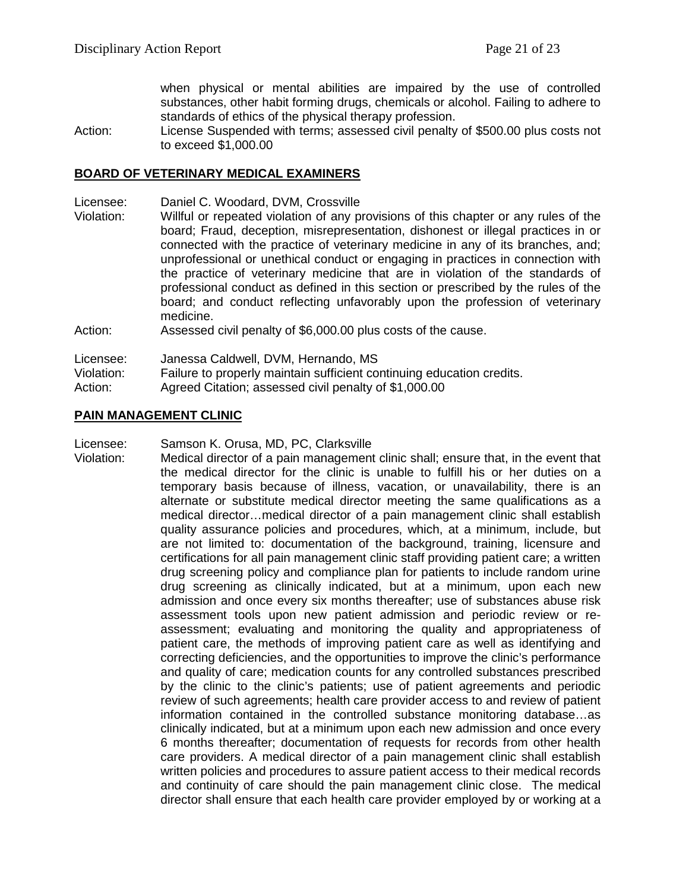when physical or mental abilities are impaired by the use of controlled substances, other habit forming drugs, chemicals or alcohol. Failing to adhere to standards of ethics of the physical therapy profession.

Action: License Suspended with terms; assessed civil penalty of \$500.00 plus costs not to exceed \$1,000.00

#### **BOARD OF VETERINARY MEDICAL EXAMINERS**

- Licensee: Daniel C. Woodard, DVM, Crossville
- Violation: Willful or repeated violation of any provisions of this chapter or any rules of the board; Fraud, deception, misrepresentation, dishonest or illegal practices in or connected with the practice of veterinary medicine in any of its branches, and; unprofessional or unethical conduct or engaging in practices in connection with the practice of veterinary medicine that are in violation of the standards of professional conduct as defined in this section or prescribed by the rules of the board; and conduct reflecting unfavorably upon the profession of veterinary medicine.

Action: Assessed civil penalty of \$6,000.00 plus costs of the cause.

Licensee: Janessa Caldwell, DVM, Hernando, MS

Violation: Failure to properly maintain sufficient continuing education credits.

Action: Agreed Citation; assessed civil penalty of \$1,000.00

#### **PAIN MANAGEMENT CLINIC**

Licensee: Samson K. Orusa, MD, PC, Clarksville

Violation: Medical director of a pain management clinic shall; ensure that, in the event that the medical director for the clinic is unable to fulfill his or her duties on a temporary basis because of illness, vacation, or unavailability, there is an alternate or substitute medical director meeting the same qualifications as a medical director…medical director of a pain management clinic shall establish quality assurance policies and procedures, which, at a minimum, include, but are not limited to: documentation of the background, training, licensure and certifications for all pain management clinic staff providing patient care; a written drug screening policy and compliance plan for patients to include random urine drug screening as clinically indicated, but at a minimum, upon each new admission and once every six months thereafter; use of substances abuse risk assessment tools upon new patient admission and periodic review or reassessment; evaluating and monitoring the quality and appropriateness of patient care, the methods of improving patient care as well as identifying and correcting deficiencies, and the opportunities to improve the clinic's performance and quality of care; medication counts for any controlled substances prescribed by the clinic to the clinic's patients; use of patient agreements and periodic review of such agreements; health care provider access to and review of patient information contained in the controlled substance monitoring database…as clinically indicated, but at a minimum upon each new admission and once every 6 months thereafter; documentation of requests for records from other health care providers. A medical director of a pain management clinic shall establish written policies and procedures to assure patient access to their medical records and continuity of care should the pain management clinic close. The medical director shall ensure that each health care provider employed by or working at a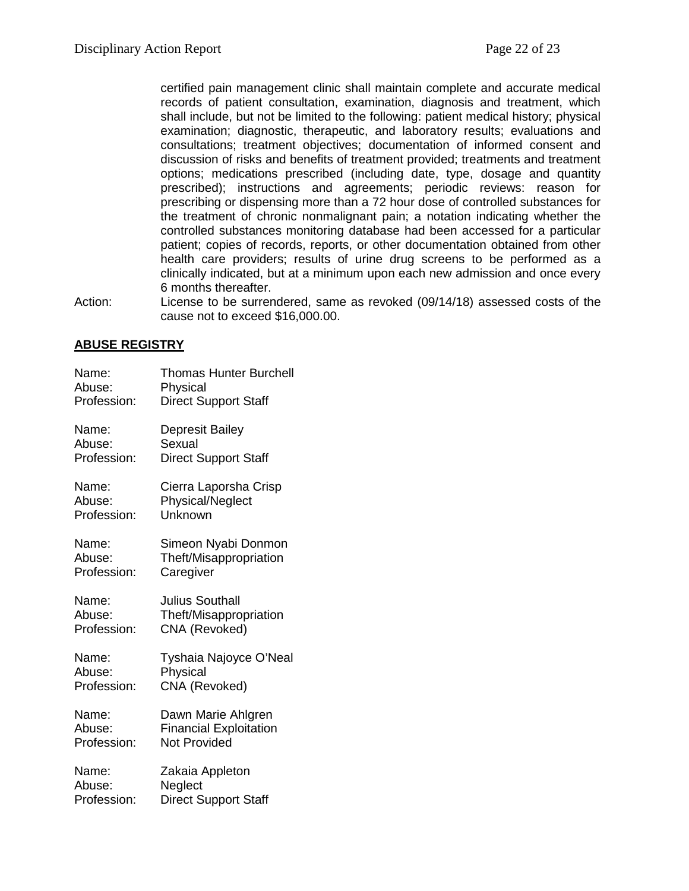certified pain management clinic shall maintain complete and accurate medical records of patient consultation, examination, diagnosis and treatment, which shall include, but not be limited to the following: patient medical history; physical examination; diagnostic, therapeutic, and laboratory results; evaluations and consultations; treatment objectives; documentation of informed consent and discussion of risks and benefits of treatment provided; treatments and treatment options; medications prescribed (including date, type, dosage and quantity prescribed); instructions and agreements; periodic reviews: reason for prescribing or dispensing more than a 72 hour dose of controlled substances for the treatment of chronic nonmalignant pain; a notation indicating whether the controlled substances monitoring database had been accessed for a particular patient; copies of records, reports, or other documentation obtained from other health care providers; results of urine drug screens to be performed as a clinically indicated, but at a minimum upon each new admission and once every 6 months thereafter.

Action: License to be surrendered, same as revoked (09/14/18) assessed costs of the cause not to exceed \$16,000.00.

## **ABUSE REGISTRY**

| Name:       | <b>Thomas Hunter Burchell</b> |
|-------------|-------------------------------|
| Abuse:      | Physical                      |
| Profession: | <b>Direct Support Staff</b>   |
| Name:       | Depresit Bailey               |
| Abuse:      | Sexual                        |
| Profession: | <b>Direct Support Staff</b>   |
| Name:       | Cierra Laporsha Crisp         |
| Abuse:      | <b>Physical/Neglect</b>       |
| Profession: | Unknown                       |
| Name:       | Simeon Nyabi Donmon           |
| Abuse:      | Theft/Misappropriation        |
| Profession: | Caregiver                     |
| Name:       | Julius Southall               |
| Abuse:      | Theft/Misappropriation        |
| Profession: | CNA (Revoked)                 |
| Name:       | Tyshaia Najoyce O'Neal        |
| Abuse:      | Physical                      |
| Profession: | CNA (Revoked)                 |
| Name:       | Dawn Marie Ahlgren            |
| Abuse:      | <b>Financial Exploitation</b> |
| Profession: | <b>Not Provided</b>           |
| Name:       | Zakaia Appleton               |
| Abuse:      | Neglect                       |
| Profession: | <b>Direct Support Staff</b>   |